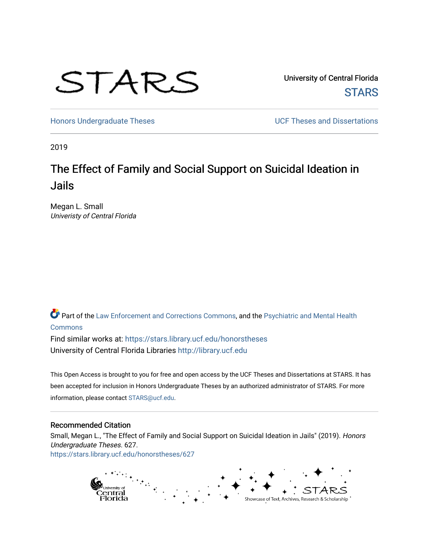

University of Central Florida **STARS** 

[Honors Undergraduate Theses](https://stars.library.ucf.edu/honorstheses) **Exercise 2018** UCF Theses and Dissertations

2019

# The Effect of Family and Social Support on Suicidal Ideation in Jails

Megan L. Small Univeristy of Central Florida

Part of the [Law Enforcement and Corrections Commons,](http://network.bepress.com/hgg/discipline/854?utm_source=stars.library.ucf.edu%2Fhonorstheses%2F627&utm_medium=PDF&utm_campaign=PDFCoverPages) and the [Psychiatric and Mental Health](http://network.bepress.com/hgg/discipline/711?utm_source=stars.library.ucf.edu%2Fhonorstheses%2F627&utm_medium=PDF&utm_campaign=PDFCoverPages)  [Commons](http://network.bepress.com/hgg/discipline/711?utm_source=stars.library.ucf.edu%2Fhonorstheses%2F627&utm_medium=PDF&utm_campaign=PDFCoverPages)

Find similar works at: <https://stars.library.ucf.edu/honorstheses> University of Central Florida Libraries [http://library.ucf.edu](http://library.ucf.edu/) 

This Open Access is brought to you for free and open access by the UCF Theses and Dissertations at STARS. It has been accepted for inclusion in Honors Undergraduate Theses by an authorized administrator of STARS. For more information, please contact [STARS@ucf.edu.](mailto:STARS@ucf.edu)

# Recommended Citation

Small, Megan L., "The Effect of Family and Social Support on Suicidal Ideation in Jails" (2019). Honors Undergraduate Theses. 627. [https://stars.library.ucf.edu/honorstheses/627](https://stars.library.ucf.edu/honorstheses/627?utm_source=stars.library.ucf.edu%2Fhonorstheses%2F627&utm_medium=PDF&utm_campaign=PDFCoverPages) 

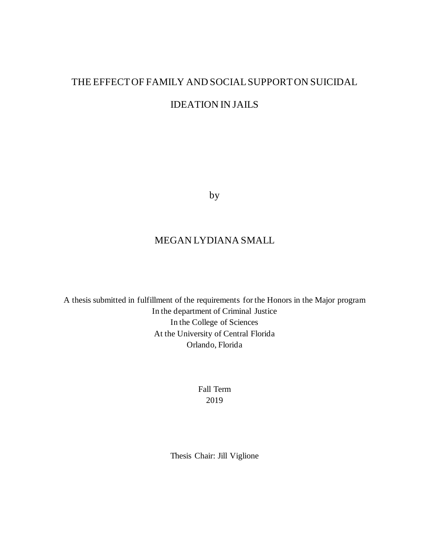# THE EFFECT OF FAMILY AND SOCIALSUPPORT ON SUICIDAL IDEATION IN JAILS

by

# MEGAN LYDIANA SMALL

A thesis submitted in fulfillment of the requirements for the Honors in the Major program In the department of Criminal Justice In the College of Sciences At the University of Central Florida Orlando, Florida

> Fall Term 2019

Thesis Chair: Jill Viglione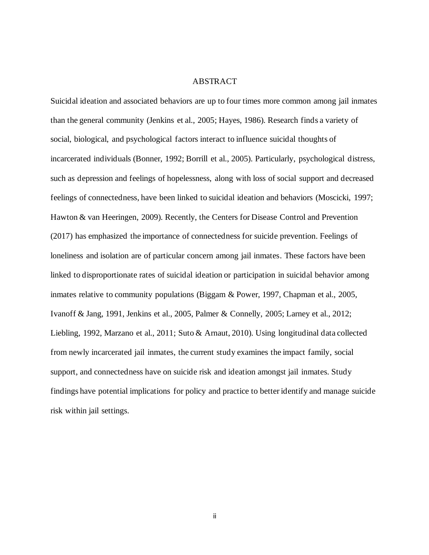# ABSTRACT

Suicidal ideation and associated behaviors are up to four times more common among jail inmates than the general community (Jenkins et al., 2005; Hayes, 1986). Research finds a variety of social, biological, and psychological factors interact to influence suicidal thoughts of incarcerated individuals (Bonner, 1992; Borrill et al., 2005). Particularly, psychological distress, such as depression and feelings of hopelessness, along with loss of social support and decreased feelings of connectedness, have been linked to suicidal ideation and behaviors (Moscicki, 1997; Hawton & van Heeringen, 2009). Recently, the Centers for Disease Control and Prevention (2017) has emphasized the importance of connectedness for suicide prevention. Feelings of loneliness and isolation are of particular concern among jail inmates. These factors have been linked to disproportionate rates of suicidal ideation or participation in suicidal behavior among inmates relative to community populations (Biggam & Power, 1997, Chapman et al., 2005, Ivanoff & Jang, 1991, Jenkins et al., 2005, Palmer & Connelly, 2005; Larney et al., 2012; Liebling, 1992, Marzano et al., 2011; Suto & Arnaut, 2010). Using longitudinal data collected from newly incarcerated jail inmates, the current study examines the impact family, social support, and connectedness have on suicide risk and ideation amongst jail inmates. Study findings have potential implications for policy and practice to better identify and manage suicide risk within jail settings.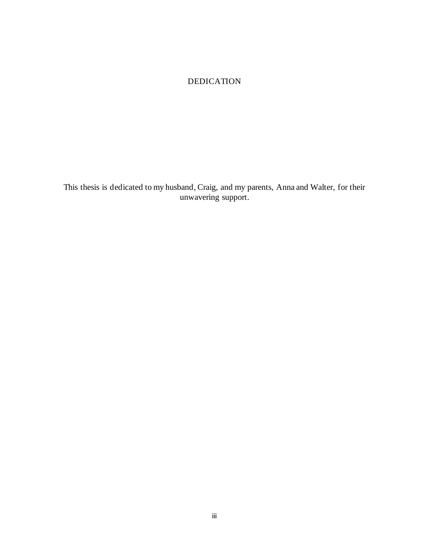# DEDICATION

This thesis is dedicated to my husband, Craig, and my parents, Anna and Walter, for their unwavering support.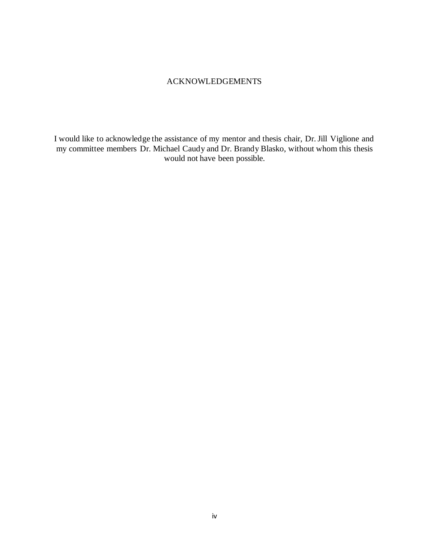# ACKNOWLEDGEMENTS

I would like to acknowledge the assistance of my mentor and thesis chair, Dr. Jill Viglione and my committee members Dr. Michael Caudy and Dr. Brandy Blasko, without whom this thesis would not have been possible.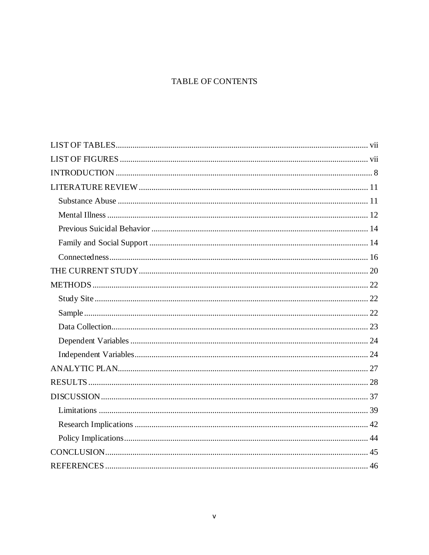# **TABLE OF CONTENTS**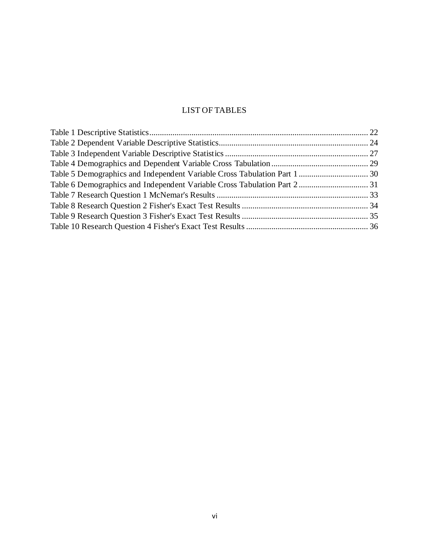# LIST OF TABLES

<span id="page-6-0"></span>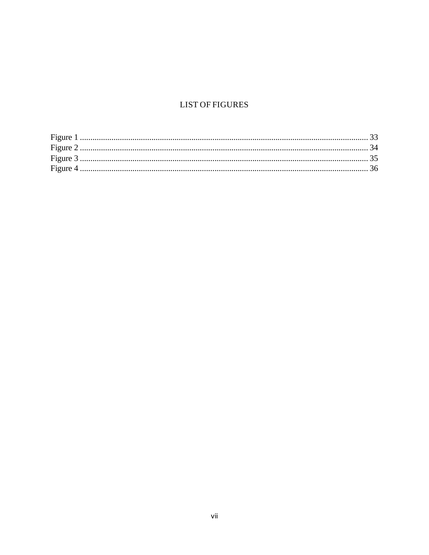# **LIST OF FIGURES**

<span id="page-7-0"></span>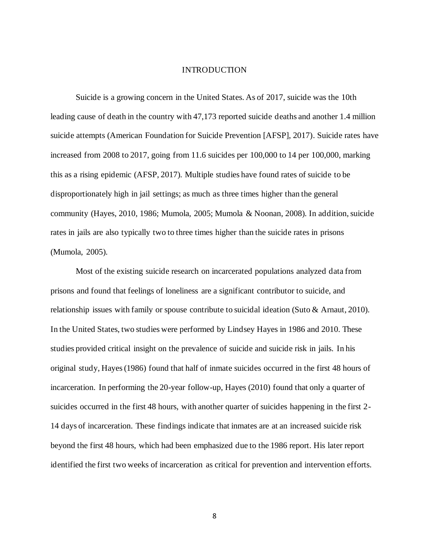#### INTRODUCTION

<span id="page-8-0"></span>Suicide is a growing concern in the United States. As of 2017, suicide was the 10th leading cause of death in the country with 47,173 reported suicide deaths and another 1.4 million suicide attempts (American Foundation for Suicide Prevention [AFSP], 2017). Suicide rates have increased from 2008 to 2017, going from 11.6 suicides per 100,000 to 14 per 100,000, marking this as a rising epidemic (AFSP, 2017). Multiple studies have found rates of suicide to be disproportionately high in jail settings; as much as three times higher than the general community (Hayes, 2010, 1986; Mumola, 2005; Mumola & Noonan, 2008). In addition, suicide rates in jails are also typically two to three times higher than the suicide rates in prisons (Mumola, 2005).

Most of the existing suicide research on incarcerated populations analyzed data from prisons and found that feelings of loneliness are a significant contributor to suicide, and relationship issues with family or spouse contribute to suicidal ideation (Suto & Arnaut, 2010). In the United States, two studies were performed by Lindsey Hayes in 1986 and 2010. These studies provided critical insight on the prevalence of suicide and suicide risk in jails. In his original study, Hayes (1986) found that half of inmate suicides occurred in the first 48 hours of incarceration. In performing the 20-year follow-up, Hayes (2010) found that only a quarter of suicides occurred in the first 48 hours, with another quarter of suicides happening in the first 2- 14 days of incarceration. These findings indicate that inmates are at an increased suicide risk beyond the first 48 hours, which had been emphasized due to the 1986 report. His later report identified the first two weeks of incarceration as critical for prevention and intervention efforts.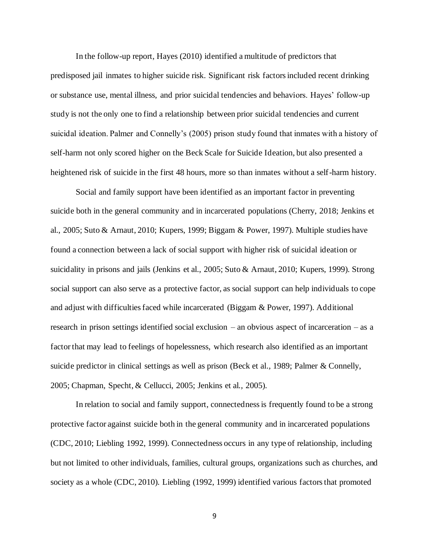In the follow-up report, Hayes (2010) identified a multitude of predictors that predisposed jail inmates to higher suicide risk. Significant risk factors included recent drinking or substance use, mental illness, and prior suicidal tendencies and behaviors. Hayes' follow-up study is not the only one to find a relationship between prior suicidal tendencies and current suicidal ideation. Palmer and Connelly's (2005) prison study found that inmates with a history of self-harm not only scored higher on the Beck Scale for Suicide Ideation, but also presented a heightened risk of suicide in the first 48 hours, more so than inmates without a self-harm history.

Social and family support have been identified as an important factor in preventing suicide both in the general community and in incarcerated populations (Cherry, 2018; Jenkins et al., 2005; Suto & Arnaut, 2010; Kupers, 1999; Biggam & Power, 1997). Multiple studies have found a connection between a lack of social support with higher risk of suicidal ideation or suicidality in prisons and jails (Jenkins et al., 2005; Suto & Arnaut, 2010; Kupers, 1999). Strong social support can also serve as a protective factor, as social support can help individuals to cope and adjust with difficulties faced while incarcerated (Biggam & Power, 1997). Additional research in prison settings identified social exclusion – an obvious aspect of incarceration – as a factor that may lead to feelings of hopelessness, which research also identified as an important suicide predictor in clinical settings as well as prison (Beck et al*.,* 1989; Palmer & Connelly, 2005; Chapman, Specht, & Cellucci, 2005; Jenkins et al*.,* 2005).

In relation to social and family support, connectedness is frequently found to be a strong protective factor against suicide both in the general community and in incarcerated populations (CDC, 2010; Liebling 1992, 1999). Connectedness occurs in any type of relationship, including but not limited to other individuals, families, cultural groups, organizations such as churches, and society as a whole (CDC, 2010). Liebling (1992, 1999) identified various factors that promoted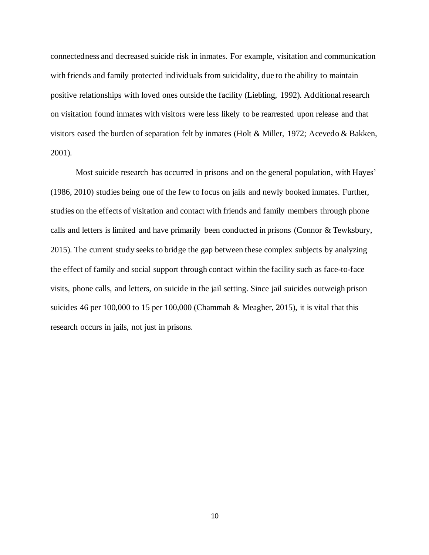connectedness and decreased suicide risk in inmates. For example, visitation and communication with friends and family protected individuals from suicidality, due to the ability to maintain positive relationships with loved ones outside the facility (Liebling, 1992). Additional research on visitation found inmates with visitors were less likely to be rearrested upon release and that visitors eased the burden of separation felt by inmates (Holt & Miller, 1972; Acevedo & Bakken, 2001).

Most suicide research has occurred in prisons and on the general population, with Hayes' (1986, 2010) studies being one of the few to focus on jails and newly booked inmates. Further, studies on the effects of visitation and contact with friends and family members through phone calls and letters is limited and have primarily been conducted in prisons (Connor & Tewksbury, 2015). The current study seeks to bridge the gap between these complex subjects by analyzing the effect of family and social support through contact within the facility such as face-to-face visits, phone calls, and letters, on suicide in the jail setting. Since jail suicides outweigh prison suicides 46 per 100,000 to 15 per 100,000 (Chammah & Meagher, 2015), it is vital that this research occurs in jails, not just in prisons.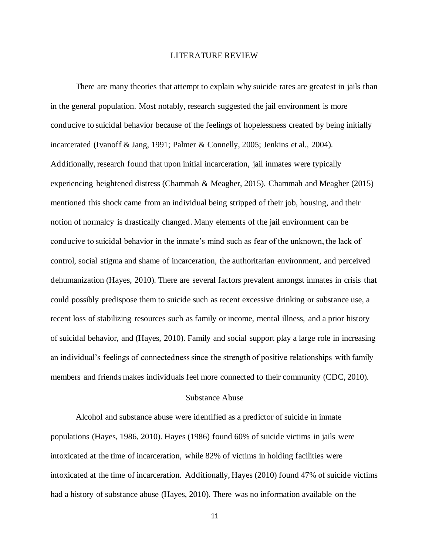### LITERATURE REVIEW

<span id="page-11-0"></span>There are many theories that attempt to explain why suicide rates are greatest in jails than in the general population. Most notably, research suggested the jail environment is more conducive to suicidal behavior because of the feelings of hopelessness created by being initially incarcerated (Ivanoff & Jang, 1991; Palmer & Connelly, 2005; Jenkins et al., 2004). Additionally, research found that upon initial incarceration, jail inmates were typically experiencing heightened distress (Chammah & Meagher, 2015). Chammah and Meagher (2015) mentioned this shock came from an individual being stripped of their job, housing, and their notion of normalcy is drastically changed. Many elements of the jail environment can be conducive to suicidal behavior in the inmate's mind such as fear of the unknown, the lack of control, social stigma and shame of incarceration, the authoritarian environment, and perceived dehumanization (Hayes, 2010). There are several factors prevalent amongst inmates in crisis that could possibly predispose them to suicide such as recent excessive drinking or substance use, a recent loss of stabilizing resources such as family or income, mental illness, and a prior history of suicidal behavior, and (Hayes, 2010). Family and social support play a large role in increasing an individual's feelings of connectedness since the strength of positive relationships with family members and friends makes individuals feel more connected to their community (CDC, 2010).

# Substance Abuse

<span id="page-11-1"></span>Alcohol and substance abuse were identified as a predictor of suicide in inmate populations (Hayes, 1986, 2010). Hayes (1986) found 60% of suicide victims in jails were intoxicated at the time of incarceration, while 82% of victims in holding facilities were intoxicated at the time of incarceration. Additionally, Hayes (2010) found 47% of suicide victims had a history of substance abuse (Hayes, 2010). There was no information available on the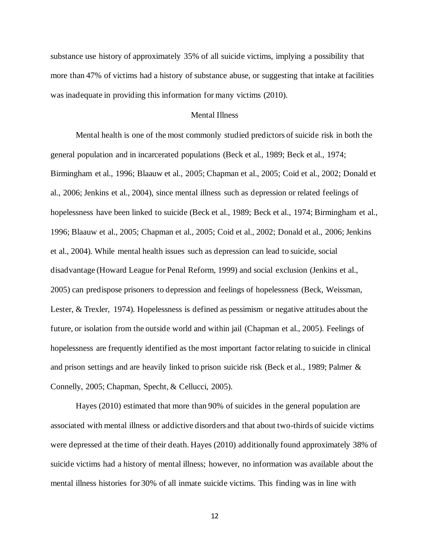substance use history of approximately 35% of all suicide victims, implying a possibility that more than 47% of victims had a history of substance abuse, or suggesting that intake at facilities was inadequate in providing this information for many victims (2010).

# Mental Illness

<span id="page-12-0"></span>Mental health is one of the most commonly studied predictors of suicide risk in both the general population and in incarcerated populations (Beck et al., 1989; Beck et al., 1974; Birmingham et al., 1996; Blaauw et al., 2005; Chapman et al., 2005; Coid et al., 2002; Donald et al., 2006; Jenkins et al., 2004), since mental illness such as depression or related feelings of hopelessness have been linked to suicide (Beck et al., 1989; Beck et al., 1974; Birmingham et al., 1996; Blaauw et al., 2005; Chapman et al., 2005; Coid et al., 2002; Donald et al., 2006; Jenkins et al., 2004). While mental health issues such as depression can lead to suicide, social disadvantage (Howard League for Penal Reform, 1999) and social exclusion (Jenkins et al., 2005) can predispose prisoners to depression and feelings of hopelessness (Beck, Weissman, Lester, & Trexler, 1974). Hopelessness is defined as pessimism or negative attitudes about the future, or isolation from the outside world and within jail (Chapman et al., 2005). Feelings of hopelessness are frequently identified as the most important factor relating to suicide in clinical and prison settings and are heavily linked to prison suicide risk (Beck et al*.,* 1989; Palmer & Connelly, 2005; Chapman, Specht, & Cellucci, 2005).

Hayes (2010) estimated that more than 90% of suicides in the general population are associated with mental illness or addictive disorders and that about two-thirds of suicide victims were depressed at the time of their death. Hayes (2010) additionally found approximately 38% of suicide victims had a history of mental illness; however, no information was available about the mental illness histories for 30% of all inmate suicide victims. This finding was in line with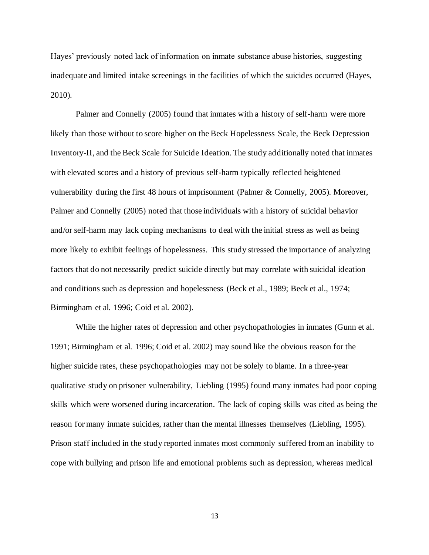Hayes' previously noted lack of information on inmate substance abuse histories, suggesting inadequate and limited intake screenings in the facilities of which the suicides occurred (Hayes, 2010).

Palmer and Connelly (2005) found that inmates with a history of self-harm were more likely than those without to score higher on the Beck Hopelessness Scale, the Beck Depression Inventory-II, and the Beck Scale for Suicide Ideation. The study additionally noted that inmates with elevated scores and a history of previous self-harm typically reflected heightened vulnerability during the first 48 hours of imprisonment (Palmer & Connelly, 2005). Moreover, Palmer and Connelly (2005) noted that those individuals with a history of suicidal behavior and/or self-harm may lack coping mechanisms to deal with the initial stress as well as being more likely to exhibit feelings of hopelessness. This study stressed the importance of analyzing factors that do not necessarily predict suicide directly but may correlate with suicidal ideation and conditions such as depression and hopelessness (Beck et al., 1989; Beck et al., 1974; Birmingham et al*.* 1996; Coid et al. 2002).

While the higher rates of depression and other psychopathologies in inmates (Gunn et al*.* 1991; Birmingham et al*.* 1996; Coid et al. 2002) may sound like the obvious reason for the higher suicide rates, these psychopathologies may not be solely to blame. In a three-year qualitative study on prisoner vulnerability, Liebling (1995) found many inmates had poor coping skills which were worsened during incarceration. The lack of coping skills was cited as being the reason for many inmate suicides, rather than the mental illnesses themselves (Liebling, 1995). Prison staff included in the study reported inmates most commonly suffered from an inability to cope with bullying and prison life and emotional problems such as depression, whereas medical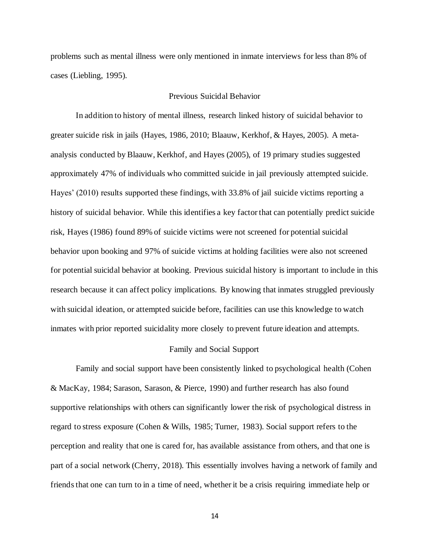problems such as mental illness were only mentioned in inmate interviews for less than 8% of cases (Liebling, 1995).

# Previous Suicidal Behavior

<span id="page-14-0"></span>In addition to history of mental illness, research linked history of suicidal behavior to greater suicide risk in jails (Hayes, 1986, 2010; Blaauw, Kerkhof, & Hayes, 2005). A metaanalysis conducted by Blaauw, Kerkhof, and Hayes (2005), of 19 primary studies suggested approximately 47% of individuals who committed suicide in jail previously attempted suicide. Hayes' (2010) results supported these findings, with 33.8% of jail suicide victims reporting a history of suicidal behavior. While this identifies a key factor that can potentially predict suicide risk, Hayes (1986) found 89% of suicide victims were not screened for potential suicidal behavior upon booking and 97% of suicide victims at holding facilities were also not screened for potential suicidal behavior at booking. Previous suicidal history is important to include in this research because it can affect policy implications. By knowing that inmates struggled previously with suicidal ideation, or attempted suicide before, facilities can use this knowledge to watch inmates with prior reported suicidality more closely to prevent future ideation and attempts.

#### Family and Social Support

<span id="page-14-1"></span>Family and social support have been consistently linked to psychological health (Cohen & MacKay, 1984; Sarason, Sarason, & Pierce, 1990) and further research has also found supportive relationships with others can significantly lower the risk of psychological distress in regard to stress exposure (Cohen & Wills, 1985; Turner, 1983). Social support refers to the perception and reality that one is cared for, has available assistance from others, and that one is part of a social network (Cherry, 2018). This essentially involves having a network of family and friends that one can turn to in a time of need, whether it be a crisis requiring immediate help or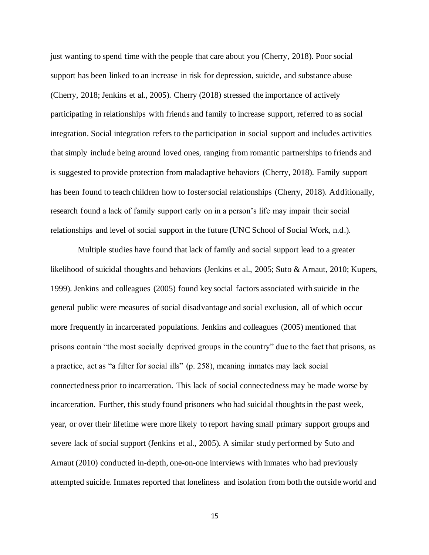just wanting to spend time with the people that care about you (Cherry, 2018). Poor social support has been linked to an increase in risk for depression, suicide, and substance abuse (Cherry, 2018; Jenkins et al., 2005). Cherry (2018) stressed the importance of actively participating in relationships with friends and family to increase support, referred to as social integration. Social integration refers to the participation in social support and includes activities that simply include being around loved ones, ranging from romantic partnerships to friends and is suggested to provide protection from maladaptive behaviors (Cherry, 2018). Family support has been found to teach children how to foster social relationships (Cherry, 2018). Additionally, research found a lack of family support early on in a person's life may impair their social relationships and level of social support in the future (UNC School of Social Work, n.d.).

Multiple studies have found that lack of family and social support lead to a greater likelihood of suicidal thoughts and behaviors (Jenkins et al., 2005; Suto & Arnaut, 2010; Kupers, 1999). Jenkins and colleagues (2005) found key social factors associated with suicide in the general public were measures of social disadvantage and social exclusion, all of which occur more frequently in incarcerated populations. Jenkins and colleagues (2005) mentioned that prisons contain "the most socially deprived groups in the country" due to the fact that prisons, as a practice, act as "a filter for social ills" (p. 258), meaning inmates may lack social connectedness prior to incarceration. This lack of social connectedness may be made worse by incarceration. Further, this study found prisoners who had suicidal thoughts in the past week, year, or over their lifetime were more likely to report having small primary support groups and severe lack of social support (Jenkins et al., 2005). A similar study performed by Suto and Arnaut (2010) conducted in-depth, one-on-one interviews with inmates who had previously attempted suicide. Inmates reported that loneliness and isolation from both the outside world and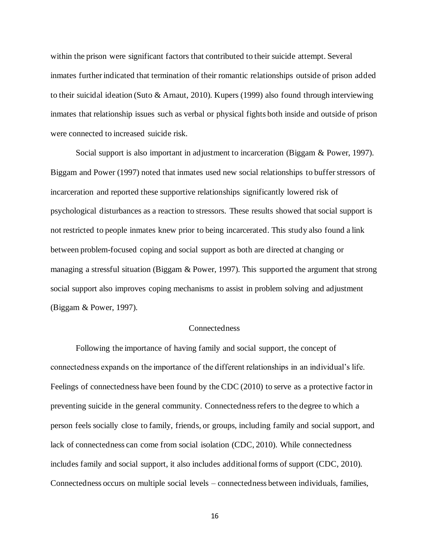within the prison were significant factors that contributed to their suicide attempt. Several inmates further indicated that termination of their romantic relationships outside of prison added to their suicidal ideation (Suto & Arnaut, 2010). Kupers (1999) also found through interviewing inmates that relationship issues such as verbal or physical fights both inside and outside of prison were connected to increased suicide risk.

Social support is also important in adjustment to incarceration (Biggam & Power, 1997). Biggam and Power (1997) noted that inmates used new social relationships to buffer stressors of incarceration and reported these supportive relationships significantly lowered risk of psychological disturbances as a reaction to stressors. These results showed that social support is not restricted to people inmates knew prior to being incarcerated. This study also found a link between problem-focused coping and social support as both are directed at changing or managing a stressful situation (Biggam & Power, 1997). This supported the argument that strong social support also improves coping mechanisms to assist in problem solving and adjustment (Biggam & Power, 1997).

# Connectedness

<span id="page-16-0"></span>Following the importance of having family and social support, the concept of connectedness expands on the importance of the different relationships in an individual's life. Feelings of connectedness have been found by the CDC (2010) to serve as a protective factor in preventing suicide in the general community. Connectedness refers to the degree to which a person feels socially close to family, friends, or groups, including family and social support, and lack of connectedness can come from social isolation (CDC, 2010). While connectedness includes family and social support, it also includes additional forms of support (CDC, 2010). Connectedness occurs on multiple social levels – connectedness between individuals, families,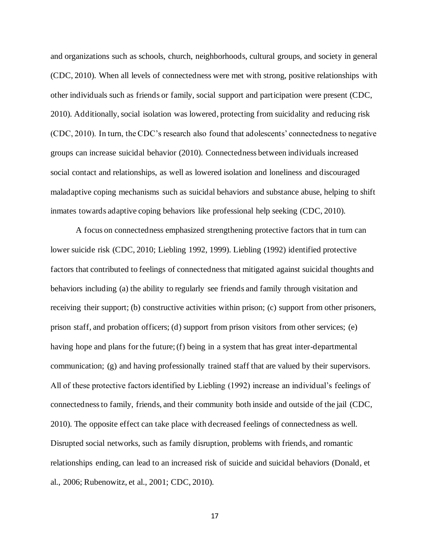and organizations such as schools, church, neighborhoods, cultural groups, and society in general (CDC, 2010). When all levels of connectedness were met with strong, positive relationships with other individuals such as friends or family, social support and participation were present (CDC, 2010). Additionally, social isolation was lowered, protecting from suicidality and reducing risk (CDC, 2010). In turn, the CDC's research also found that adolescents' connectedness to negative groups can increase suicidal behavior (2010). Connectedness between individuals increased social contact and relationships, as well as lowered isolation and loneliness and discouraged maladaptive coping mechanisms such as suicidal behaviors and substance abuse, helping to shift inmates towards adaptive coping behaviors like professional help seeking (CDC, 2010).

A focus on connectedness emphasized strengthening protective factors that in turn can lower suicide risk (CDC, 2010; Liebling 1992, 1999). Liebling (1992) identified protective factors that contributed to feelings of connectedness that mitigated against suicidal thoughts and behaviors including (a) the ability to regularly see friends and family through visitation and receiving their support; (b) constructive activities within prison; (c) support from other prisoners, prison staff, and probation officers; (d) support from prison visitors from other services; (e) having hope and plans for the future; (f) being in a system that has great inter-departmental communication; (g) and having professionally trained staff that are valued by their supervisors. All of these protective factors identified by Liebling (1992) increase an individual's feelings of connectedness to family, friends, and their community both inside and outside of the jail (CDC, 2010). The opposite effect can take place with decreased feelings of connectedness as well. Disrupted social networks, such as family disruption, problems with friends, and romantic relationships ending, can lead to an increased risk of suicide and suicidal behaviors (Donald, et al., 2006; Rubenowitz, et al., 2001; CDC, 2010).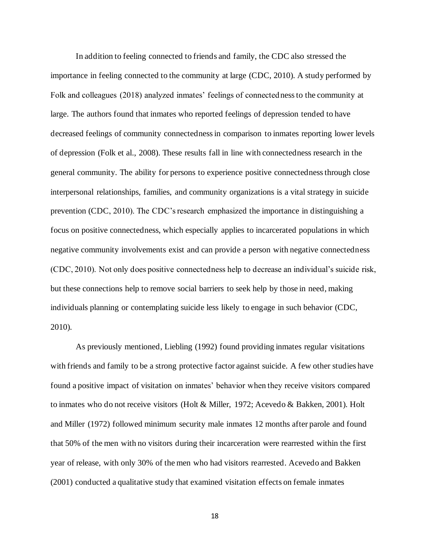In addition to feeling connected to friends and family, the CDC also stressed the importance in feeling connected to the community at large (CDC, 2010). A study performed by Folk and colleagues (2018) analyzed inmates' feelings of connectedness to the community at large. The authors found that inmates who reported feelings of depression tended to have decreased feelings of community connectedness in comparison to inmates reporting lower levels of depression (Folk et al., 2008). These results fall in line with connectedness research in the general community. The ability for persons to experience positive connectedness through close interpersonal relationships, families, and community organizations is a vital strategy in suicide prevention (CDC, 2010). The CDC's research emphasized the importance in distinguishing a focus on positive connectedness, which especially applies to incarcerated populations in which negative community involvements exist and can provide a person with negative connectedness (CDC, 2010). Not only does positive connectedness help to decrease an individual's suicide risk, but these connections help to remove social barriers to seek help by those in need, making individuals planning or contemplating suicide less likely to engage in such behavior (CDC, 2010).

As previously mentioned, Liebling (1992) found providing inmates regular visitations with friends and family to be a strong protective factor against suicide. A few other studies have found a positive impact of visitation on inmates' behavior when they receive visitors compared to inmates who do not receive visitors (Holt & Miller, 1972; Acevedo & Bakken, 2001). Holt and Miller (1972) followed minimum security male inmates 12 months after parole and found that 50% of the men with no visitors during their incarceration were rearrested within the first year of release, with only 30% of the men who had visitors rearrested. Acevedo and Bakken (2001) conducted a qualitative study that examined visitation effects on female inmates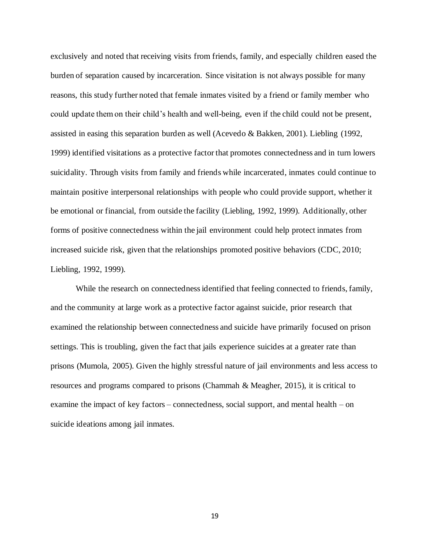exclusively and noted that receiving visits from friends, family, and especially children eased the burden of separation caused by incarceration. Since visitation is not always possible for many reasons, this study further noted that female inmates visited by a friend or family member who could update them on their child's health and well-being, even if the child could not be present, assisted in easing this separation burden as well (Acevedo & Bakken, 2001). Liebling (1992, 1999) identified visitations as a protective factor that promotes connectedness and in turn lowers suicidality. Through visits from family and friends while incarcerated, inmates could continue to maintain positive interpersonal relationships with people who could provide support, whether it be emotional or financial, from outside the facility (Liebling, 1992, 1999). Additionally, other forms of positive connectedness within the jail environment could help protect inmates from increased suicide risk, given that the relationships promoted positive behaviors (CDC, 2010; Liebling, 1992, 1999).

While the research on connectedness identified that feeling connected to friends, family, and the community at large work as a protective factor against suicide, prior research that examined the relationship between connectedness and suicide have primarily focused on prison settings. This is troubling, given the fact that jails experience suicides at a greater rate than prisons (Mumola, 2005). Given the highly stressful nature of jail environments and less access to resources and programs compared to prisons (Chammah & Meagher, 2015), it is critical to examine the impact of key factors – connectedness, social support, and mental health – on suicide ideations among jail inmates.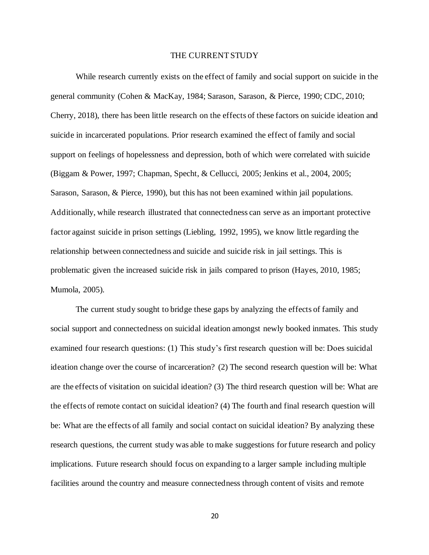# THE CURRENT STUDY

<span id="page-20-0"></span>While research currently exists on the effect of family and social support on suicide in the general community (Cohen & MacKay, 1984; Sarason, Sarason, & Pierce, 1990; CDC, 2010; Cherry, 2018), there has been little research on the effects of these factors on suicide ideation and suicide in incarcerated populations. Prior research examined the effect of family and social support on feelings of hopelessness and depression, both of which were correlated with suicide (Biggam & Power, 1997; Chapman, Specht, & Cellucci, 2005; Jenkins et al., 2004, 2005; Sarason, Sarason, & Pierce, 1990), but this has not been examined within jail populations. Additionally, while research illustrated that connectedness can serve as an important protective factor against suicide in prison settings (Liebling, 1992, 1995), we know little regarding the relationship between connectedness and suicide and suicide risk in jail settings. This is problematic given the increased suicide risk in jails compared to prison (Hayes, 2010, 1985; Mumola, 2005).

The current study sought to bridge these gaps by analyzing the effects of family and social support and connectedness on suicidal ideation amongst newly booked inmates. This study examined four research questions: (1) This study's first research question will be: Does suicidal ideation change over the course of incarceration? (2) The second research question will be: What are the effects of visitation on suicidal ideation? (3) The third research question will be: What are the effects of remote contact on suicidal ideation? (4) The fourth and final research question will be: What are the effects of all family and social contact on suicidal ideation? By analyzing these research questions, the current study was able to make suggestions for future research and policy implications. Future research should focus on expanding to a larger sample including multiple facilities around the country and measure connectedness through content of visits and remote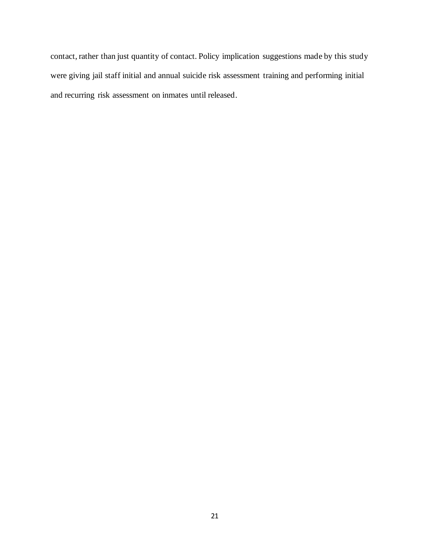contact, rather than just quantity of contact. Policy implication suggestions made by this study were giving jail staff initial and annual suicide risk assessment training and performing initial and recurring risk assessment on inmates until released.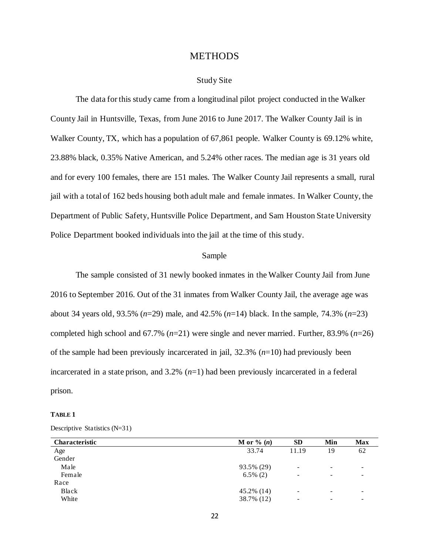# **METHODS**

# Study Site

<span id="page-22-1"></span><span id="page-22-0"></span>The data for this study came from a longitudinal pilot project conducted in the Walker County Jail in Huntsville, Texas, from June 2016 to June 2017. The Walker County Jail is in Walker County, TX, which has a population of 67,861 people. Walker County is 69.12% white, 23.88% black, 0.35% Native American, and 5.24% other races. The median age is 31 years old and for every 100 females, there are 151 males. The Walker County Jail represents a small, rural jail with a total of 162 beds housing both adult male and female inmates. In Walker County, the Department of Public Safety, Huntsville Police Department, and Sam Houston State University Police Department booked individuals into the jail at the time of this study.

# Sample

<span id="page-22-2"></span>The sample consisted of 31 newly booked inmates in the Walker County Jail from June 2016 to September 2016. Out of the 31 inmates from Walker County Jail, the average age was about 34 years old, 93.5% (*n*=29) male, and 42.5% (*n*=14) black. In the sample, 74.3% (*n*=23) completed high school and 67.7% (*n*=21) were single and never married. Further, 83.9% (*n*=26) of the sample had been previously incarcerated in jail, 32.3% (*n*=10) had previously been incarcerated in a state prison, and 3.2% (*n*=1) had been previously incarcerated in a federal prison.

#### **TABLE 1**

| Descriptive Statistics (N=31) |  |  |
|-------------------------------|--|--|
|-------------------------------|--|--|

| <b>Characteristic</b> | M or $\%$ $(n)$ | <b>SD</b>                | Min                      | <b>Max</b> |
|-----------------------|-----------------|--------------------------|--------------------------|------------|
| Age                   | 33.74           | 11.19                    | 19                       | 62         |
| Gender                |                 |                          |                          |            |
| Male                  | 93.5% (29)      | $\overline{\phantom{a}}$ | $\overline{\phantom{0}}$ | -          |
| Female                | $6.5\%$ (2)     | -                        | -                        |            |
| Race                  |                 |                          |                          |            |
| Black                 | 45.2% (14)      | $\overline{\phantom{a}}$ | -                        | ۰          |
| White                 | 38.7% (12)      | $\overline{\phantom{a}}$ | $\overline{\phantom{0}}$ |            |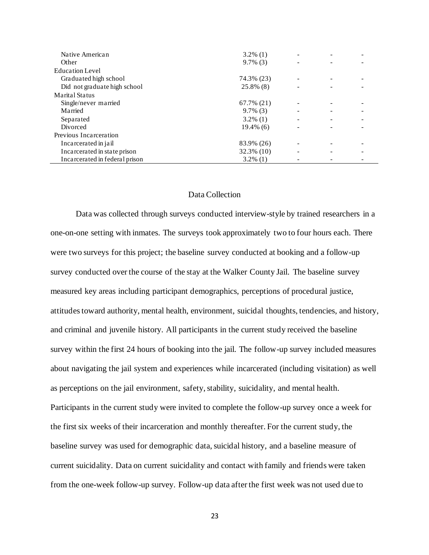| Native American                | $3.2\%$ (1)  |                          |  |
|--------------------------------|--------------|--------------------------|--|
| Other                          | $9.7\%$ (3)  |                          |  |
| <b>Education Level</b>         |              |                          |  |
| Graduated high school          | 74.3% (23)   |                          |  |
| Did not graduate high school   | 25.8% (8)    |                          |  |
| Marital Status                 |              |                          |  |
| Single/never married           | 67.7% (21)   |                          |  |
| Married                        | $9.7\%$ (3)  | $\overline{\phantom{a}}$ |  |
| Separated                      | $3.2\%$ (1)  | -                        |  |
| Divorced                       | $19.4\%$ (6) | ۰                        |  |
| Previous Incarceration         |              |                          |  |
| Incarcerated in jail           | 83.9% (26)   | -                        |  |
| Incarcerated in state prison   | 32.3% (10)   | ۰                        |  |
| Incarcerated in federal prison | $3.2\%$ (1)  |                          |  |

# Data Collection

<span id="page-23-0"></span>Data was collected through surveys conducted interview-style by trained researchers in a one-on-one setting with inmates. The surveys took approximately two to four hours each. There were two surveys for this project; the baseline survey conducted at booking and a follow-up survey conducted over the course of the stay at the Walker County Jail. The baseline survey measured key areas including participant demographics, perceptions of procedural justice, attitudes toward authority, mental health, environment, suicidal thoughts, tendencies, and history, and criminal and juvenile history. All participants in the current study received the baseline survey within the first 24 hours of booking into the jail. The follow-up survey included measures about navigating the jail system and experiences while incarcerated (including visitation) as well as perceptions on the jail environment, safety, stability, suicidality, and mental health. Participants in the current study were invited to complete the follow-up survey once a week for the first six weeks of their incarceration and monthly thereafter. For the current study, the baseline survey was used for demographic data, suicidal history, and a baseline measure of current suicidality. Data on current suicidality and contact with family and friends were taken from the one-week follow-up survey. Follow-up data after the first week was not used due to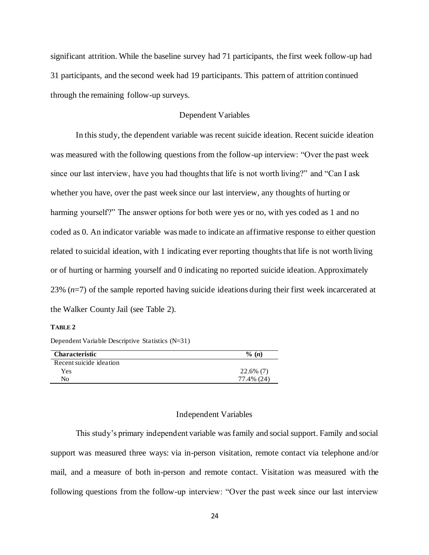significant attrition. While the baseline survey had 71 participants, the first week follow-up had 31 participants, and the second week had 19 participants. This pattern of attrition continued through the remaining follow-up surveys.

# Dependent Variables

<span id="page-24-0"></span>In this study, the dependent variable was recent suicide ideation. Recent suicide ideation was measured with the following questions from the follow-up interview: "Over the past week since our last interview, have you had thoughts that life is not worth living?" and "Can I ask whether you have, over the past week since our last interview, any thoughts of hurting or harming yourself?" The answer options for both were yes or no, with yes coded as 1 and no coded as 0. An indicator variable was made to indicate an affirmative response to either question related to suicidal ideation, with 1 indicating ever reporting thoughts that life is not worth living or of hurting or harming yourself and 0 indicating no reported suicide ideation. Approximately 23% (*n*=7) of the sample reported having suicide ideations during their first week incarcerated at the Walker County Jail (see Table 2).

#### **TABLE 2**

Dependent Variable Descriptive Statistics (N=31)

| <b>Characteristic</b>   | $\% (n)$     |
|-------------------------|--------------|
| Recent suicide ideation |              |
| Yes                     | $22.6\%$ (7) |
| No                      | 77.4% (24)   |

#### Independent Variables

<span id="page-24-1"></span>This study's primary independent variable wasfamily and social support. Family and social support was measured three ways: via in-person visitation, remote contact via telephone and/or mail, and a measure of both in-person and remote contact. Visitation was measured with the following questions from the follow-up interview: "Over the past week since our last interview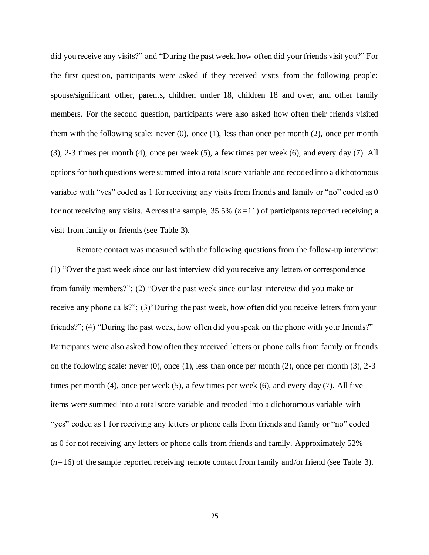did you receive any visits?" and "During the past week, how often did your friends visit you?" For the first question, participants were asked if they received visits from the following people: spouse/significant other, parents, children under 18, children 18 and over, and other family members. For the second question, participants were also asked how often their friends visited them with the following scale: never (0), once (1), less than once per month (2), once per month (3), 2-3 times per month (4), once per week (5), a few times per week (6), and every day (7). All options for both questions were summed into a total score variable and recoded into a dichotomous variable with "yes" coded as 1 for receiving any visits from friends and family or "no" coded as 0 for not receiving any visits. Across the sample, 35.5% (*n=*11) of participants reported receiving a visit from family or friends (see Table 3).

Remote contact was measured with the following questions from the follow-up interview: (1) "Over the past week since our last interview did you receive any letters or correspondence from family members?"; (2) "Over the past week since our last interview did you make or receive any phone calls?"; (3)"During the past week, how often did you receive letters from your friends?"; (4) "During the past week, how often did you speak on the phone with your friends?" Participants were also asked how often they received letters or phone calls from family or friends on the following scale: never  $(0)$ , once  $(1)$ , less than once per month  $(2)$ , once per month  $(3)$ ,  $2-3$ times per month (4), once per week (5), a few times per week (6), and every day (7). All five items were summed into a total score variable and recoded into a dichotomous variable with "yes" coded as 1 for receiving any letters or phone calls from friends and family or "no" coded as 0 for not receiving any letters or phone calls from friends and family. Approximately 52% (*n=*16) of the sample reported receiving remote contact from family and/or friend (see Table 3).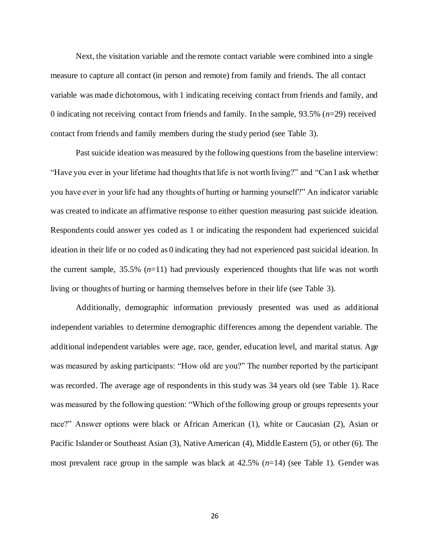Next, the visitation variable and the remote contact variable were combined into a single measure to capture all contact (in person and remote) from family and friends. The all contact variable was made dichotomous, with 1 indicating receiving contact from friends and family, and 0 indicating not receiving contact from friends and family. In the sample, 93.5% (*n*=29) received contact from friends and family members during the study period (see Table 3).

Past suicide ideation was measured by the following questions from the baseline interview: "Have you ever in your lifetime had thoughts that life is not worth living?" and "Can I ask whether you have ever in your life had any thoughts of hurting or harming yourself?" An indicator variable was created to indicate an affirmative response to either question measuring past suicide ideation. Respondents could answer yes coded as 1 or indicating the respondent had experienced suicidal ideation in their life or no coded as 0 indicating they had not experienced past suicidal ideation. In the current sample, 35.5% (*n*=11) had previously experienced thoughts that life was not worth living or thoughts of hurting or harming themselves before in their life (see Table 3).

Additionally, demographic information previously presented was used as additional independent variables to determine demographic differences among the dependent variable. The additional independent variables were age, race, gender, education level, and marital status. Age was measured by asking participants: "How old are you?" The number reported by the participant was recorded. The average age of respondents in this study was 34 years old (see Table 1). Race was measured by the following question: "Which of the following group or groups represents your race?" Answer options were black or African American (1), white or Caucasian (2), Asian or Pacific Islander or Southeast Asian (3), Native American (4), Middle Eastern (5), or other (6). The most prevalent race group in the sample was black at 42.5% (*n*=14) (see Table 1). Gender was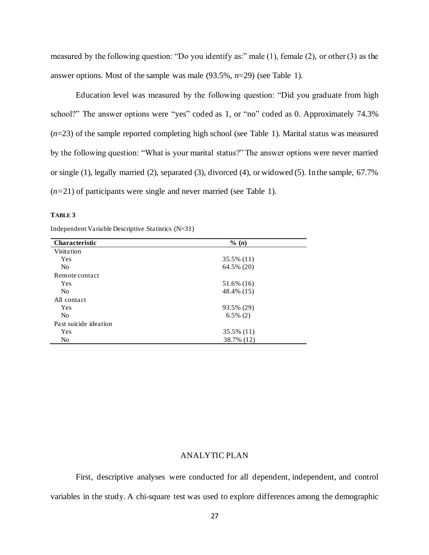measured by the following question: "Do you identify as:" male (1), female (2), or other (3) as the answer options. Most of the sample was male (93.5%, *n*=29) (see Table 1).

Education level was measured by the following question: "Did you graduate from high school?" The answer options were "yes" coded as 1, or "no" coded as 0. Approximately 74.3% (*n*=23) of the sample reported completing high school (see Table 1). Marital status was measured by the following question: "What is your marital status?" The answer options were never married or single (1), legally married (2), separated (3), divorced (4), or widowed (5). In the sample, 67.7% (*n=*21) of participants were single and never married (see Table 1).

# **TABLE 3**

| <b>Characteristic</b> | $\%$ (n)    |  |
|-----------------------|-------------|--|
| Visitation            |             |  |
| <b>Yes</b>            | 35.5% (11)  |  |
| N <sub>0</sub>        | 64.5% (20)  |  |
| Remote contact        |             |  |
| <b>Yes</b>            | 51.6% (16)  |  |
| No                    | 48.4% (15)  |  |
| All contact           |             |  |
| Yes                   | 93.5% (29)  |  |
| No                    | $6.5\%$ (2) |  |
| Past suicide ideation |             |  |
| Yes                   | 35.5% (11)  |  |
| No                    | 38.7% (12)  |  |

Independent Variable Descriptive Statistics (N=31)

# ANALYTIC PLAN

<span id="page-27-0"></span>First, descriptive analyses were conducted for all dependent, independent, and control variables in the study. A chi-square test was used to explore differences among the demographic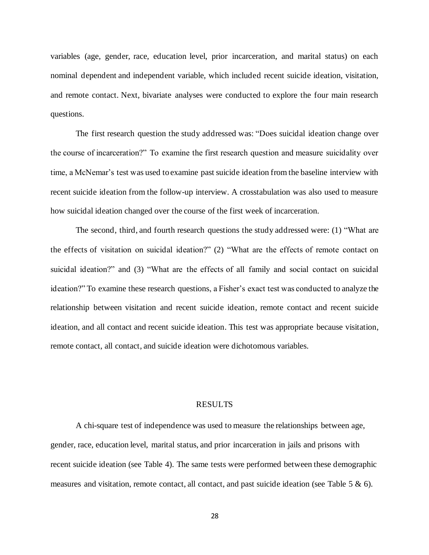variables (age, gender, race, education level, prior incarceration, and marital status) on each nominal dependent and independent variable, which included recent suicide ideation, visitation, and remote contact. Next, bivariate analyses were conducted to explore the four main research questions.

The first research question the study addressed was: "Does suicidal ideation change over the course of incarceration?" To examine the first research question and measure suicidality over time, a McNemar's test was used to examine past suicide ideation from the baseline interview with recent suicide ideation from the follow-up interview. A crosstabulation was also used to measure how suicidal ideation changed over the course of the first week of incarceration.

The second, third, and fourth research questions the study addressed were: (1) "What are the effects of visitation on suicidal ideation?" (2) "What are the effects of remote contact on suicidal ideation?" and (3) "What are the effects of all family and social contact on suicidal ideation?" To examine these research questions, a Fisher's exact test was conducted to analyze the relationship between visitation and recent suicide ideation, remote contact and recent suicide ideation, and all contact and recent suicide ideation. This test was appropriate because visitation, remote contact, all contact, and suicide ideation were dichotomous variables.

#### RESULTS

<span id="page-28-0"></span>A chi-square test of independence was used to measure the relationships between age, gender, race, education level, marital status, and prior incarceration in jails and prisons with recent suicide ideation (see Table 4). The same tests were performed between these demographic measures and visitation, remote contact, all contact, and past suicide ideation (see Table 5 & 6).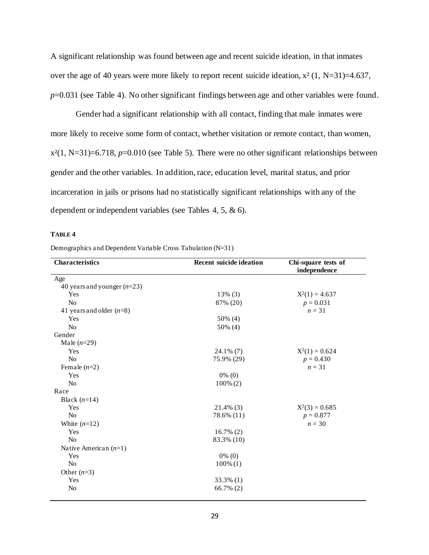A significant relationship was found between age and recent suicide ideation, in that inmates over the age of 40 years were more likely to report recent suicide ideation, x² (1, N=31)=4.637, *p*=0.031 (see Table 4). No other significant findings between age and other variables were found.

Gender had a significant relationship with all contact, finding that male inmates were more likely to receive some form of contact, whether visitation or remote contact, than women,  $x^{2}(1, N=31)=6.718$ ,  $p=0.010$  (see Table 5). There were no other significant relationships between gender and the other variables. In addition, race, education level, marital status, and prior incarceration in jails or prisons had no statistically significant relationships with any of the dependent or independent variables (see Tables 4, 5, & 6).

# **TABLE 4**

|  | Demographics and Dependent Variable Cross Tabulation (N=31) |  |
|--|-------------------------------------------------------------|--|
|  |                                                             |  |

| <b>Characteristics</b>        | <b>Recent suicide ideation</b> | Chi-square tests of<br>independence |
|-------------------------------|--------------------------------|-------------------------------------|
| Age                           |                                |                                     |
| 40 years and younger $(n=23)$ |                                |                                     |
| Yes                           | $13\%$ (3)                     | $X^2(1) = 4.637$                    |
| N <sub>o</sub>                | 87% (20)                       | $p = 0.031$                         |
| 41 years and older $(n=8)$    |                                | $n = 31$                            |
| Yes                           | 50% (4)                        |                                     |
| N <sub>o</sub>                | 50% (4)                        |                                     |
| Gender                        |                                |                                     |
| Male $(n=29)$                 |                                |                                     |
| Yes                           | $24.1\%$ (7)                   | $X^2(1) = 0.624$                    |
| N <sub>o</sub>                | 75.9% (29)                     | $p = 0.430$                         |
| Female $(n=2)$                |                                | $n = 31$                            |
| Yes                           | $0\%$ (0)                      |                                     |
| N <sub>o</sub>                | $100\% (2)$                    |                                     |
| Race                          |                                |                                     |
| Black $(n=14)$                |                                |                                     |
| Yes                           | $21.4\%$ (3)                   | $X^2(3) = 0.685$                    |
| N <sub>o</sub>                | 78.6% (11)                     | $p = 0.877$                         |
| White $(n=12)$                |                                | $n = 30$                            |
| Yes                           | $16.7\%$ (2)                   |                                     |
| N <sub>o</sub>                | 83.3% (10)                     |                                     |
| Native American $(n=1)$       |                                |                                     |
| Yes                           | $0\%$ (0)                      |                                     |
| N <sub>o</sub>                | $100\%$ (1)                    |                                     |
| Other $(n=3)$                 |                                |                                     |
| Yes                           | 33.3% (1)                      |                                     |
| N <sub>o</sub>                | 66.7% (2)                      |                                     |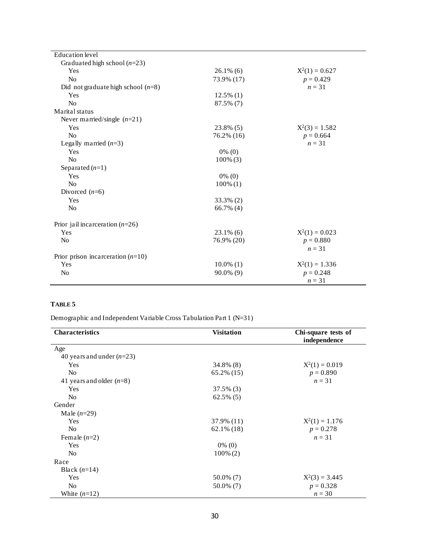| <b>Education</b> level               |              |                  |
|--------------------------------------|--------------|------------------|
| Graduated high school $(n=23)$       |              |                  |
| Yes                                  | $26.1\%$ (6) | $X^2(1) = 0.627$ |
| No                                   | 73.9% (17)   | $p = 0.429$      |
| Did not graduate high school $(n=8)$ |              | $n = 31$         |
| Yes                                  | $12.5\%$ (1) |                  |
| No                                   | 87.5% (7)    |                  |
| Marital status                       |              |                  |
| Never married/single $(n=21)$        |              |                  |
| Yes                                  | 23.8% (5)    | $X^2(3) = 1.582$ |
| N <sub>o</sub>                       | 76.2% (16)   | $p = 0.664$      |
| Legally married $(n=3)$              |              | $n = 31$         |
| Yes                                  | $0\%$ (0)    |                  |
| No                                   | $100\%$ (3)  |                  |
| Separated $(n=1)$                    |              |                  |
| Yes                                  | $0\%$ (0)    |                  |
| No                                   | $100\%$ (1)  |                  |
| Divorced $(n=6)$                     |              |                  |
| Yes                                  | 33.3% (2)    |                  |
| No                                   | 66.7% (4)    |                  |
| Prior jail incarceration $(n=26)$    |              |                  |
| Yes                                  | $23.1\%$ (6) | $X^2(1) = 0.023$ |
| N <sub>o</sub>                       | 76.9% (20)   | $p = 0.880$      |
|                                      |              | $n = 31$         |
| Prior prison incarceration $(n=10)$  |              |                  |
| Yes                                  | $10.0\%$ (1) | $X^2(1) = 1.336$ |
| N <sub>o</sub>                       | $90.0\%$ (9) | $p = 0.248$      |
|                                      |              | $n = 31$         |

# **TABLE 5**

Demographic and Independent Variable Cross Tabulation Part 1 (N=31)

| <b>Characteristics</b>      | <b>Visitation</b> | Chi-square tests of<br>independence |
|-----------------------------|-------------------|-------------------------------------|
| Age                         |                   |                                     |
| 40 years and under $(n=23)$ |                   |                                     |
| Yes                         | 34.8% (8)         | $X^2(1) = 0.019$                    |
| N <sub>o</sub>              | 65.2% (15)        | $p = 0.890$                         |
| 41 years and older $(n=8)$  |                   | $n = 31$                            |
| Yes                         | $37.5\%$ (3)      |                                     |
| N <sub>0</sub>              | $62.5\%$ (5)      |                                     |
| Gender                      |                   |                                     |
| Male $(n=29)$               |                   |                                     |
| Yes                         | 37.9% (11)        | $X^2(1) = 1.176$                    |
| N <sub>o</sub>              | $62.1\%$ (18)     | $p = 0.278$                         |
| Female $(n=2)$              |                   | $n = 31$                            |
| Yes                         | $0\%$ (0)         |                                     |
| N <sub>0</sub>              | $100\% (2)$       |                                     |
| Race                        |                   |                                     |
| Black $(n=14)$              |                   |                                     |
| Yes                         | 50.0% (7)         | $X^2(3) = 3.445$                    |
| N <sub>o</sub>              | 50.0% (7)         | $p = 0.328$                         |
| White $(n=12)$              |                   | $n = 30$                            |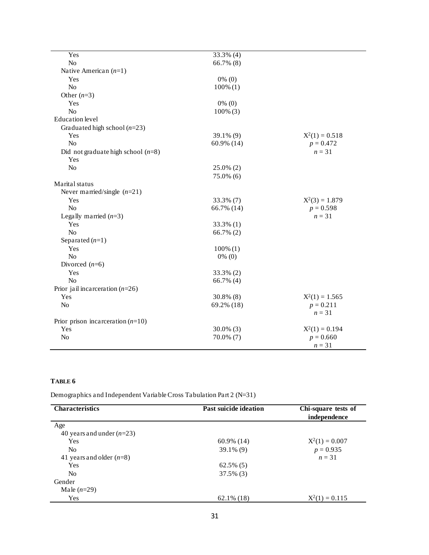| Yes                                  | 33.3% (4)    |                         |
|--------------------------------------|--------------|-------------------------|
| No                                   | 66.7% (8)    |                         |
| Native American $(n=1)$              |              |                         |
| Yes                                  | $0\%$ (0)    |                         |
| N <sub>o</sub>                       | $100\%$ (1)  |                         |
| Other $(n=3)$                        |              |                         |
| Yes                                  | $0\%$ (0)    |                         |
| N <sub>o</sub>                       | $100\%$ (3)  |                         |
| <b>Education</b> level               |              |                         |
| Graduated high school $(n=23)$       |              |                         |
| Yes                                  | 39.1% (9)    | $X^2(1) = 0.518$        |
| No                                   | 60.9% (14)   | $p = 0.472$             |
| Did not graduate high school $(n=8)$ |              | $n = 31$                |
| Yes                                  |              |                         |
| $\rm No$                             | $25.0\%$ (2) |                         |
|                                      | 75.0% (6)    |                         |
| Marital status                       |              |                         |
| Never married/single $(n=21)$        |              |                         |
| Yes                                  | 33.3% (7)    | $X^2(3) = 1.879$        |
| N <sub>o</sub>                       | 66.7% (14)   | $p = 0.598$             |
| Legally married $(n=3)$              |              | $n = 31$                |
| Yes                                  | 33.3% (1)    |                         |
| N <sub>o</sub>                       | 66.7% $(2)$  |                         |
| Separated $(n=1)$                    |              |                         |
| Yes                                  | $100\%$ (1)  |                         |
| N <sub>o</sub>                       | $0\%$ (0)    |                         |
| Divorced $(n=6)$                     |              |                         |
| Yes                                  | 33.3% (2)    |                         |
| N <sub>o</sub>                       | 66.7% (4)    |                         |
| Prior jail incarceration $(n=26)$    |              |                         |
| Yes                                  | 30.8% (8)    | $X^2(1) = 1.565$        |
| No                                   | 69.2% (18)   | $p = 0.211$<br>$n = 31$ |
| Prior prison incarceration $(n=10)$  |              |                         |
| Yes                                  | $30.0\%$ (3) | $X^2(1) = 0.194$        |
| No                                   | 70.0% (7)    | $p = 0.660$             |
|                                      |              | $n = 31$                |

# **TABLE 6**

Demographics and Independent Variable Cross Tabulation Part 2 (N=31)

| <b>Characteristics</b>      | Past suicide ideation | Chi-square tests of<br>independence |
|-----------------------------|-----------------------|-------------------------------------|
| Age                         |                       |                                     |
| 40 years and under $(n=23)$ |                       |                                     |
| Yes                         | $60.9\%$ (14)         | $X^2(1) = 0.007$                    |
| N <sub>o</sub>              | $39.1\%$ (9)          | $p = 0.935$                         |
| 41 years and older $(n=8)$  |                       | $n = 31$                            |
| Yes                         | $62.5\%$ (5)          |                                     |
| N <sub>0</sub>              | $37.5\%$ (3)          |                                     |
| Gender                      |                       |                                     |
| Male $(n=29)$               |                       |                                     |
| Yes                         | $62.1\%$ (18)         | $X^2(1) = 0.115$                    |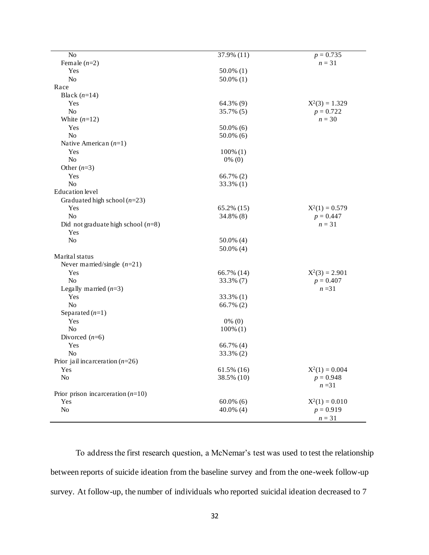| No                                   | 37.9% (11)    | $p = 0.735$      |
|--------------------------------------|---------------|------------------|
| Female $(n=2)$                       |               | $n = 31$         |
| Yes                                  | $50.0\%$ (1)  |                  |
| N <sub>o</sub>                       | $50.0\%$ (1)  |                  |
| Race                                 |               |                  |
| Black $(n=14)$                       |               |                  |
| Yes                                  | 64.3% (9)     | $X^2(3) = 1.329$ |
| $\rm No$                             | 35.7% (5)     | $p = 0.722$      |
| White $(n=12)$                       |               | $n = 30$         |
| Yes                                  | $50.0\%$ (6)  |                  |
| N <sub>o</sub>                       | $50.0\%$ (6)  |                  |
| Native American $(n=1)$              |               |                  |
| Yes                                  | $100\%$ (1)   |                  |
| N <sub>o</sub>                       | $0\%$ (0)     |                  |
| Other $(n=3)$                        |               |                  |
| Yes                                  | 66.7% (2)     |                  |
| N <sub>o</sub>                       | 33.3% (1)     |                  |
| <b>Education</b> level               |               |                  |
|                                      |               |                  |
| Graduated high school $(n=23)$       |               |                  |
| Yes                                  | $65.2\%$ (15) | $X^2(1) = 0.579$ |
| $\rm No$                             | 34.8% (8)     | $p = 0.447$      |
| Did not graduate high school $(n=8)$ |               | $n = 31$         |
| Yes                                  |               |                  |
| $\rm No$                             | $50.0\%$ (4)  |                  |
|                                      | 50.0% (4)     |                  |
| Marital status                       |               |                  |
| Never married/single $(n=21)$        |               |                  |
| Yes                                  | 66.7% (14)    | $X^2(3) = 2.901$ |
| No                                   | 33.3% (7)     | $p = 0.407$      |
| Legally married $(n=3)$              |               | $n = 31$         |
| Yes                                  | 33.3% (1)     |                  |
| $\rm No$                             | 66.7% (2)     |                  |
| Separated $(n=1)$                    |               |                  |
| Yes                                  | $0\%$ (0)     |                  |
| No                                   | $100\%$ (1)   |                  |
| Divorced $(n=6)$                     |               |                  |
| Yes                                  | 66.7% (4)     |                  |
| No                                   | 33.3% (2)     |                  |
| Prior jail incarceration $(n=26)$    |               |                  |
| Yes                                  | $61.5\%$ (16) | $X^2(1) = 0.004$ |
| No                                   | 38.5% (10)    | $p = 0.948$      |
|                                      |               | $n = 31$         |
|                                      |               |                  |
| Prior prison incarceration $(n=10)$  |               |                  |
| Yes                                  | $60.0\%$ (6)  | $X^2(1) = 0.010$ |
| No                                   | $40.0\%$ (4)  | $p = 0.919$      |
|                                      |               | $n=31$           |

To address the first research question, a McNemar's test was used to test the relationship between reports of suicide ideation from the baseline survey and from the one-week follow-up survey. At follow-up, the number of individuals who reported suicidal ideation decreased to 7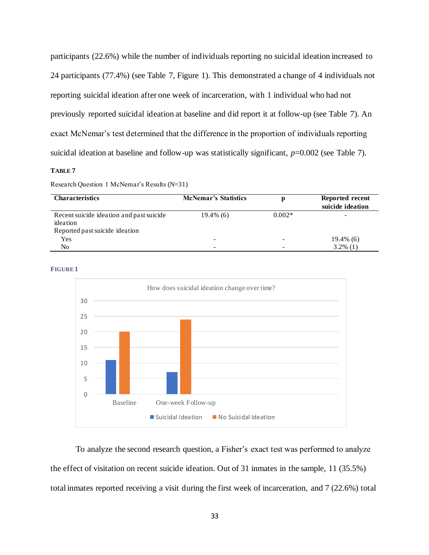participants (22.6%) while the number of individuals reporting no suicidal ideation increased to 24 participants (77.4%) (see Table 7, Figure 1). This demonstrated a change of 4 individuals not reporting suicidal ideation after one week of incarceration, with 1 individual who had not previously reported suicidal ideation at baseline and did report it at follow-up (see Table 7). An exact McNemar's test determined that the difference in the proportion of individuals reporting suicidal ideation at baseline and follow-up was statistically significant, *p*=0.002 (see Table 7).

# **TABLE 7**

Research Question 1 McNemar's Results (N=31)

| <b>Characteristics</b>                                                                 | <b>McNemar's Statistics</b> |          | Reported recent<br>suicide ideation |
|----------------------------------------------------------------------------------------|-----------------------------|----------|-------------------------------------|
| Recent suicide ideation and past suicide<br>ideation<br>Reported past suicide ideation | $19.4\%$ (6)                | $0.002*$ | -                                   |
| Yes                                                                                    | -                           |          | $19.4\%$ (6)                        |
| No                                                                                     | $\overline{\phantom{a}}$    |          | $3.2\%$ (1)                         |





To analyze the second research question, a Fisher's exact test was performed to analyze the effect of visitation on recent suicide ideation. Out of 31 inmates in the sample, 11 (35.5%) total inmates reported receiving a visit during the first week of incarceration, and 7 (22.6%) total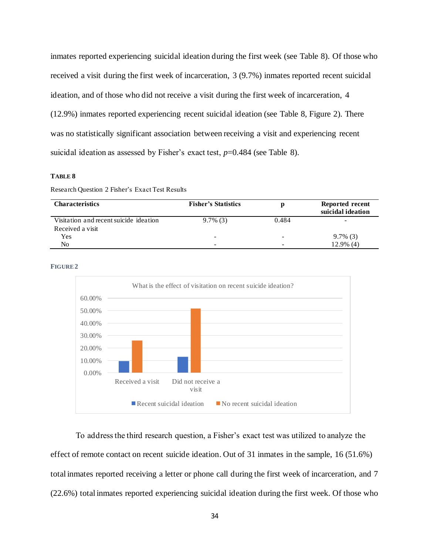inmates reported experiencing suicidal ideation during the first week (see Table 8). Of those who received a visit during the first week of incarceration, 3 (9.7%) inmates reported recent suicidal ideation, and of those who did not receive a visit during the first week of incarceration, 4 (12.9%) inmates reported experiencing recent suicidal ideation (see Table 8, Figure 2). There was no statistically significant association between receiving a visit and experiencing recent suicidal ideation as assessed by Fisher's exact test, *p*=0.484 (see Table 8).

#### **TABLE 8**

Research Question 2 Fisher's Exact Test Results

| <b>Characteristics</b>                 | <b>Fisher's Statistics</b> |       | Reported recent<br>suicidal ideation |
|----------------------------------------|----------------------------|-------|--------------------------------------|
| Visitation and recent suicide ideation | $9.7\%$ (3)                | 0.484 |                                      |
| Received a visit                       |                            |       |                                      |
| Yes                                    | -                          |       | $9.7\%$ (3)                          |
| No.                                    | -                          |       | $12.9\%$ (4)                         |

#### **FIGURE 2**



To address the third research question, a Fisher's exact test was utilized to analyze the effect of remote contact on recent suicide ideation. Out of 31 inmates in the sample, 16 (51.6%) total inmates reported receiving a letter or phone call during the first week of incarceration, and 7 (22.6%) total inmates reported experiencing suicidal ideation during the first week. Of those who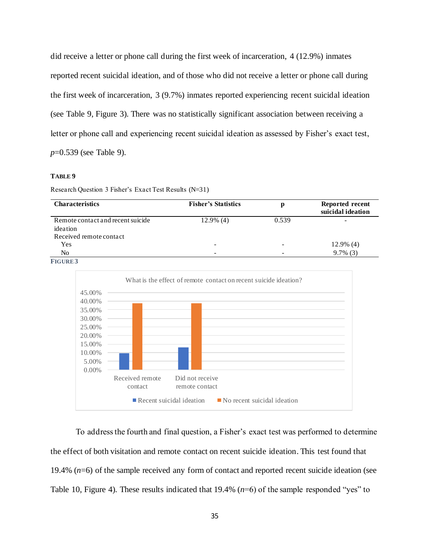did receive a letter or phone call during the first week of incarceration, 4 (12.9%) inmates reported recent suicidal ideation, and of those who did not receive a letter or phone call during the first week of incarceration, 3 (9.7%) inmates reported experiencing recent suicidal ideation (see Table 9, Figure 3). There was no statistically significant association between receiving a letter or phone call and experiencing recent suicidal ideation as assessed by Fisher's exact test, *p*=0.539 (see Table 9).

#### **TABLE 9**

Research Question 3 Fisher's Exact Test Results (N=31)

| <b>Characteristics</b>            | <b>Fisher's Statistics</b> |       | Reported recent<br>suicidal ideation |
|-----------------------------------|----------------------------|-------|--------------------------------------|
| Remote contact and recent suicide | $12.9\%$ (4)               | 0.539 |                                      |
| ideation                          |                            |       |                                      |
| Received remote contact           |                            |       |                                      |
| Yes                               |                            |       | $12.9\%$ (4)                         |
| No                                | $\overline{\phantom{0}}$   |       | $9.7\%$ (3)                          |
| <b>FIGURE3</b>                    |                            |       |                                      |



To address the fourth and final question, a Fisher's exact test was performed to determine the effect of both visitation and remote contact on recent suicide ideation. This test found that 19.4% (*n*=6) of the sample received any form of contact and reported recent suicide ideation (see Table 10, Figure 4). These results indicated that 19.4% (*n*=6) of the sample responded "yes" to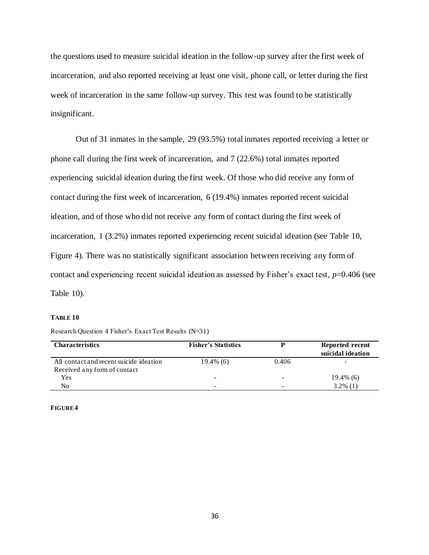the questions used to measure suicidal ideation in the follow-up survey after the first week of incarceration, and also reported receiving at least one visit, phone call, or letter during the first week of incarceration in the same follow-up survey. This test was found to be statistically insignificant.

Out of 31 inmates in the sample, 29 (93.5%) total inmates reported receiving a letter or phone call during the first week of incarceration, and 7 (22.6%) total inmates reported experiencing suicidal ideation during the first week. Of those who did receive any form of contact during the first week of incarceration, 6 (19.4%) inmates reported recent suicidal ideation, and of those who did not receive any form of contact during the first week of incarceration, 1 (3.2%) inmates reported experiencing recent suicidal ideation (see Table 10, Figure 4). There was no statistically significant association between receiving any form of contact and experiencing recent suicidal ideation as assessed by Fisher's exact test, *p*=0.406 (see Table 10).

# **TABLE 10**

| Research Question 4 Fisher's Exact Test Results (N=31) |  |
|--------------------------------------------------------|--|
|--------------------------------------------------------|--|

| <b>Characteristics</b>                  | <b>Fisher's Statistics</b> |       | Reported recent   |
|-----------------------------------------|----------------------------|-------|-------------------|
|                                         |                            |       | suicidal ideation |
| All contact and recent suicide ideation | $19.4\%$ (6)               | 0.406 | -                 |
| Received any form of contact            |                            |       |                   |
| Yes                                     | -                          | -     | 19.4% (6)         |
| No                                      | -                          | -     | $3.2\%$ (1)       |

#### **FIGURE 4**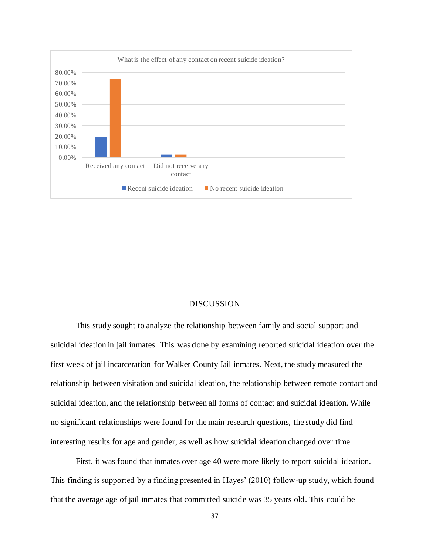

# DISCUSSION

<span id="page-37-0"></span>This study sought to analyze the relationship between family and social support and suicidal ideation in jail inmates. This was done by examining reported suicidal ideation over the first week of jail incarceration for Walker County Jail inmates. Next, the study measured the relationship between visitation and suicidal ideation, the relationship between remote contact and suicidal ideation, and the relationship between all forms of contact and suicidal ideation. While no significant relationships were found for the main research questions, the study did find interesting results for age and gender, as well as how suicidal ideation changed over time.

First, it was found that inmates over age 40 were more likely to report suicidal ideation. This finding is supported by a finding presented in Hayes' (2010) follow-up study, which found that the average age of jail inmates that committed suicide was 35 years old. This could be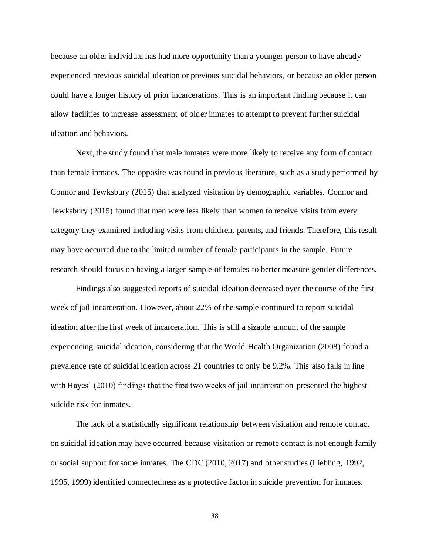because an older individual has had more opportunity than a younger person to have already experienced previous suicidal ideation or previous suicidal behaviors, or because an older person could have a longer history of prior incarcerations. This is an important finding because it can allow facilities to increase assessment of older inmates to attempt to prevent further suicidal ideation and behaviors.

Next, the study found that male inmates were more likely to receive any form of contact than female inmates. The opposite was found in previous literature, such as a study performed by Connor and Tewksbury (2015) that analyzed visitation by demographic variables. Connor and Tewksbury (2015) found that men were less likely than women to receive visits from every category they examined including visits from children, parents, and friends. Therefore, this result may have occurred due to the limited number of female participants in the sample. Future research should focus on having a larger sample of females to better measure gender differences.

Findings also suggested reports of suicidal ideation decreased over the course of the first week of jail incarceration. However, about 22% of the sample continued to report suicidal ideation after the first week of incarceration. This is still a sizable amount of the sample experiencing suicidal ideation, considering that the World Health Organization (2008) found a prevalence rate of suicidal ideation across 21 countries to only be 9.2%. This also falls in line with Hayes' (2010) findings that the first two weeks of jail incarceration presented the highest suicide risk for inmates.

The lack of a statistically significant relationship between visitation and remote contact on suicidal ideation may have occurred because visitation or remote contact is not enough family or social support for some inmates. The CDC (2010, 2017) and other studies (Liebling, 1992, 1995, 1999) identified connectedness as a protective factor in suicide prevention for inmates.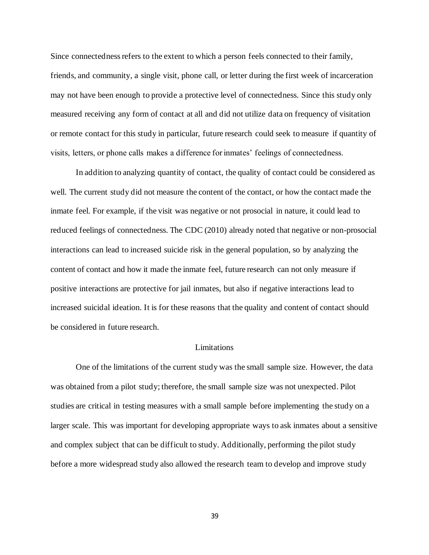Since connectedness refers to the extent to which a person feels connected to their family, friends, and community, a single visit, phone call, or letter during the first week of incarceration may not have been enough to provide a protective level of connectedness. Since this study only measured receiving any form of contact at all and did not utilize data on frequency of visitation or remote contact for this study in particular, future research could seek to measure if quantity of visits, letters, or phone calls makes a difference for inmates' feelings of connectedness.

In addition to analyzing quantity of contact, the quality of contact could be considered as well. The current study did not measure the content of the contact, or how the contact made the inmate feel. For example, if the visit was negative or not prosocial in nature, it could lead to reduced feelings of connectedness. The CDC (2010) already noted that negative or non-prosocial interactions can lead to increased suicide risk in the general population, so by analyzing the content of contact and how it made the inmate feel, future research can not only measure if positive interactions are protective for jail inmates, but also if negative interactions lead to increased suicidal ideation. It is for these reasons that the quality and content of contact should be considered in future research.

# Limitations

<span id="page-39-0"></span>One of the limitations of the current study was the small sample size. However, the data was obtained from a pilot study; therefore, the small sample size was not unexpected. Pilot studies are critical in testing measures with a small sample before implementing the study on a larger scale. This was important for developing appropriate ways to ask inmates about a sensitive and complex subject that can be difficult to study. Additionally, performing the pilot study before a more widespread study also allowed the research team to develop and improve study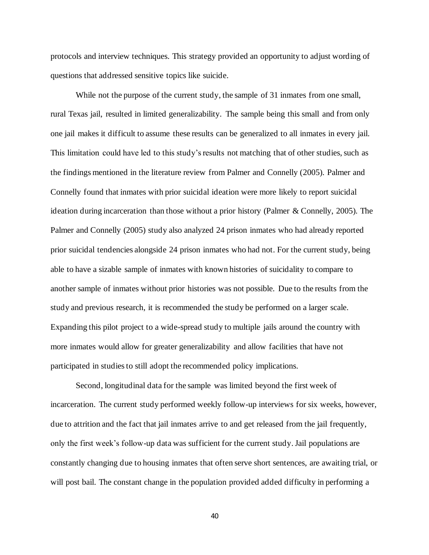protocols and interview techniques. This strategy provided an opportunity to adjust wording of questions that addressed sensitive topics like suicide.

While not the purpose of the current study, the sample of 31 inmates from one small, rural Texas jail, resulted in limited generalizability. The sample being this small and from only one jail makes it difficult to assume these results can be generalized to all inmates in every jail. This limitation could have led to this study's results not matching that of other studies, such as the findings mentioned in the literature review from Palmer and Connelly (2005). Palmer and Connelly found that inmates with prior suicidal ideation were more likely to report suicidal ideation during incarceration than those without a prior history (Palmer & Connelly, 2005). The Palmer and Connelly (2005) study also analyzed 24 prison inmates who had already reported prior suicidal tendencies alongside 24 prison inmates who had not. For the current study, being able to have a sizable sample of inmates with known histories of suicidality to compare to another sample of inmates without prior histories was not possible. Due to the results from the study and previous research, it is recommended the study be performed on a larger scale. Expanding this pilot project to a wide-spread study to multiple jails around the country with more inmates would allow for greater generalizability and allow facilities that have not participated in studies to still adopt the recommended policy implications.

Second, longitudinal data for the sample was limited beyond the first week of incarceration. The current study performed weekly follow-up interviews for six weeks, however, due to attrition and the fact that jail inmates arrive to and get released from the jail frequently, only the first week's follow-up data was sufficient for the current study. Jail populations are constantly changing due to housing inmates that often serve short sentences, are awaiting trial, or will post bail. The constant change in the population provided added difficulty in performing a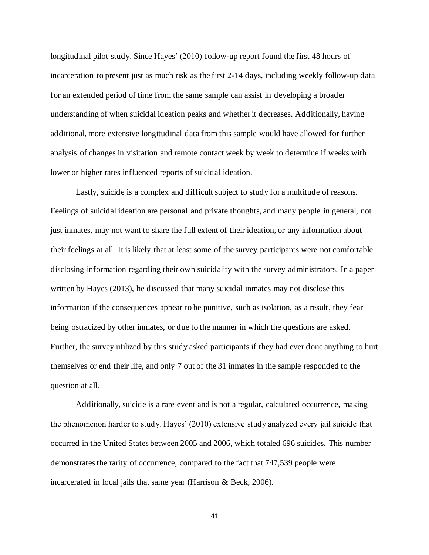longitudinal pilot study. Since Hayes' (2010) follow-up report found the first 48 hours of incarceration to present just as much risk as the first 2-14 days, including weekly follow-up data for an extended period of time from the same sample can assist in developing a broader understanding of when suicidal ideation peaks and whether it decreases. Additionally, having additional, more extensive longitudinal data from this sample would have allowed for further analysis of changes in visitation and remote contact week by week to determine if weeks with lower or higher rates influenced reports of suicidal ideation.

Lastly, suicide is a complex and difficult subject to study for a multitude of reasons. Feelings of suicidal ideation are personal and private thoughts, and many people in general, not just inmates, may not want to share the full extent of their ideation, or any information about their feelings at all. It is likely that at least some of the survey participants were not comfortable disclosing information regarding their own suicidality with the survey administrators. In a paper written by Hayes (2013), he discussed that many suicidal inmates may not disclose this information if the consequences appear to be punitive, such as isolation, as a result, they fear being ostracized by other inmates, or due to the manner in which the questions are asked. Further, the survey utilized by this study asked participants if they had ever done anything to hurt themselves or end their life, and only 7 out of the 31 inmates in the sample responded to the question at all.

Additionally, suicide is a rare event and is not a regular, calculated occurrence, making the phenomenon harder to study. Hayes' (2010) extensive study analyzed every jail suicide that occurred in the United States between 2005 and 2006, which totaled 696 suicides. This number demonstrates the rarity of occurrence, compared to the fact that 747,539 people were incarcerated in local jails that same year (Harrison & Beck, 2006).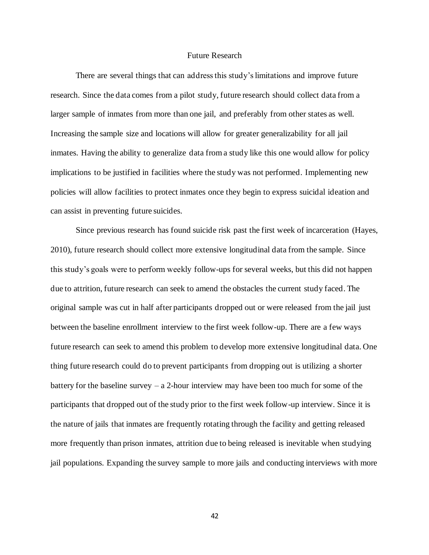# Future Research

<span id="page-42-0"></span>There are several things that can address this study's limitations and improve future research. Since the data comes from a pilot study, future research should collect data from a larger sample of inmates from more than one jail, and preferably from other states as well. Increasing the sample size and locations will allow for greater generalizability for all jail inmates. Having the ability to generalize data from a study like this one would allow for policy implications to be justified in facilities where the study was not performed. Implementing new policies will allow facilities to protect inmates once they begin to express suicidal ideation and can assist in preventing future suicides.

Since previous research has found suicide risk past the first week of incarceration (Hayes, 2010), future research should collect more extensive longitudinal data from the sample. Since this study's goals were to perform weekly follow-ups for several weeks, but this did not happen due to attrition, future research can seek to amend the obstacles the current study faced. The original sample was cut in half after participants dropped out or were released from the jail just between the baseline enrollment interview to the first week follow-up. There are a few ways future research can seek to amend this problem to develop more extensive longitudinal data. One thing future research could do to prevent participants from dropping out is utilizing a shorter battery for the baseline survey  $- a 2$ -hour interview may have been too much for some of the participants that dropped out of the study prior to the first week follow-up interview. Since it is the nature of jails that inmates are frequently rotating through the facility and getting released more frequently than prison inmates, attrition due to being released is inevitable when studying jail populations. Expanding the survey sample to more jails and conducting interviews with more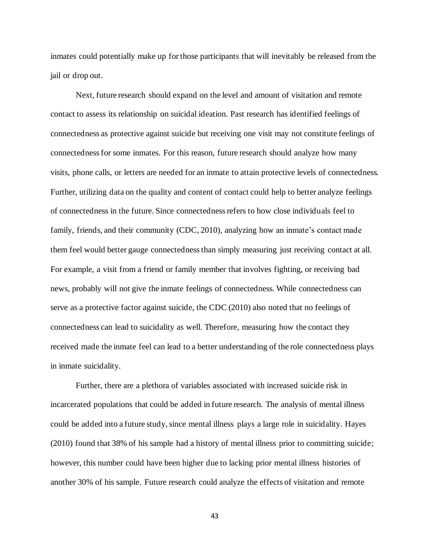inmates could potentially make up for those participants that will inevitably be released from the jail or drop out.

Next, future research should expand on the level and amount of visitation and remote contact to assess its relationship on suicidal ideation. Past research has identified feelings of connectedness as protective against suicide but receiving one visit may not constitute feelings of connectedness for some inmates. For this reason, future research should analyze how many visits, phone calls, or letters are needed for an inmate to attain protective levels of connectedness. Further, utilizing data on the quality and content of contact could help to better analyze feelings of connectedness in the future. Since connectedness refers to how close individuals feel to family, friends, and their community (CDC, 2010), analyzing how an inmate's contact made them feel would better gauge connectedness than simply measuring just receiving contact at all. For example, a visit from a friend or family member that involves fighting, or receiving bad news, probably will not give the inmate feelings of connectedness. While connectedness can serve as a protective factor against suicide, the CDC (2010) also noted that no feelings of connectedness can lead to suicidality as well. Therefore, measuring how the contact they received made the inmate feel can lead to a better understanding of the role connectedness plays in inmate suicidality.

Further, there are a plethora of variables associated with increased suicide risk in incarcerated populations that could be added in future research. The analysis of mental illness could be added into a future study, since mental illness plays a large role in suicidality. Hayes (2010) found that 38% of his sample had a history of mental illness prior to committing suicide; however, this number could have been higher due to lacking prior mental illness histories of another 30% of his sample. Future research could analyze the effects of visitation and remote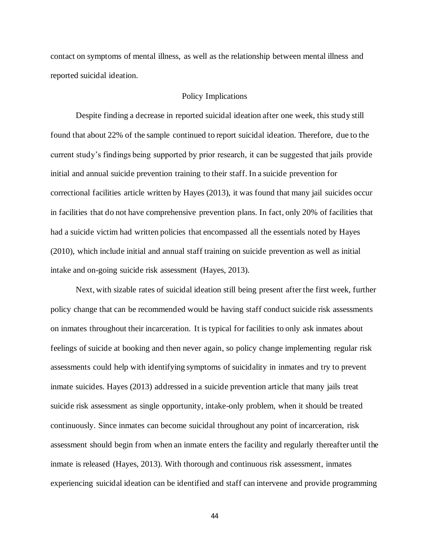contact on symptoms of mental illness, as well as the relationship between mental illness and reported suicidal ideation.

# Policy Implications

<span id="page-44-0"></span>Despite finding a decrease in reported suicidal ideation after one week, this study still found that about 22% of the sample continued to report suicidal ideation. Therefore, due to the current study's findings being supported by prior research, it can be suggested that jails provide initial and annual suicide prevention training to their staff. In a suicide prevention for correctional facilities article written by Hayes (2013), it was found that many jail suicides occur in facilities that do not have comprehensive prevention plans. In fact, only 20% of facilities that had a suicide victim had written policies that encompassed all the essentials noted by Hayes (2010), which include initial and annual staff training on suicide prevention as well as initial intake and on-going suicide risk assessment (Hayes, 2013).

Next, with sizable rates of suicidal ideation still being present after the first week, further policy change that can be recommended would be having staff conduct suicide risk assessments on inmates throughout their incarceration. It is typical for facilities to only ask inmates about feelings of suicide at booking and then never again, so policy change implementing regular risk assessments could help with identifying symptoms of suicidality in inmates and try to prevent inmate suicides. Hayes (2013) addressed in a suicide prevention article that many jails treat suicide risk assessment as single opportunity, intake-only problem, when it should be treated continuously. Since inmates can become suicidal throughout any point of incarceration, risk assessment should begin from when an inmate enters the facility and regularly thereafter until the inmate is released (Hayes, 2013). With thorough and continuous risk assessment, inmates experiencing suicidal ideation can be identified and staff can intervene and provide programming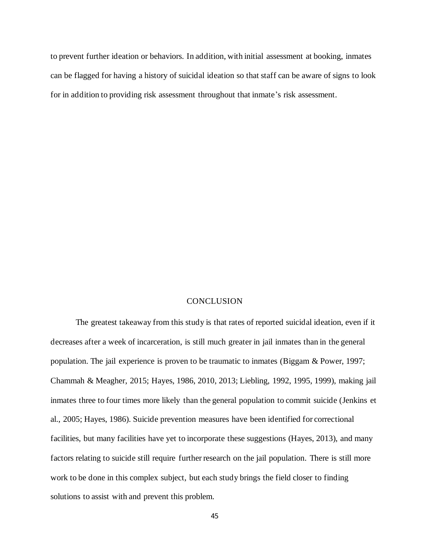to prevent further ideation or behaviors. In addition, with initial assessment at booking, inmates can be flagged for having a history of suicidal ideation so that staff can be aware of signs to look for in addition to providing risk assessment throughout that inmate's risk assessment.

# **CONCLUSION**

<span id="page-45-0"></span>The greatest takeaway from this study is that rates of reported suicidal ideation, even if it decreases after a week of incarceration, is still much greater in jail inmates than in the general population. The jail experience is proven to be traumatic to inmates (Biggam & Power, 1997; Chammah & Meagher, 2015; Hayes, 1986, 2010, 2013; Liebling, 1992, 1995, 1999), making jail inmates three to four times more likely than the general population to commit suicide (Jenkins et al., 2005; Hayes, 1986). Suicide prevention measures have been identified for correctional facilities, but many facilities have yet to incorporate these suggestions (Hayes, 2013), and many factors relating to suicide still require further research on the jail population. There is still more work to be done in this complex subject, but each study brings the field closer to finding solutions to assist with and prevent this problem.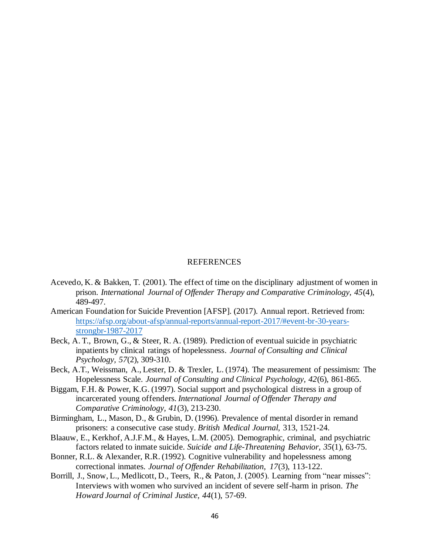# **REFERENCES**

- <span id="page-46-0"></span>Acevedo, K. & Bakken, T. (2001). The effect of time on the disciplinary adjustment of women in prison. *International Journal of Offender Therapy and Comparative Criminology, 45*(4), 489-497.
- American Foundation for Suicide Prevention [AFSP]. (2017). Annual report. Retrieved from: [https://afsp.org/about-afsp/annual-reports/annual-report-2017/#event-br-30-years](https://afsp.org/about-afsp/annual-reports/annual-report-2017/#event-br-30-years-strongbr-1987-2017)[strongbr-1987-2017](https://afsp.org/about-afsp/annual-reports/annual-report-2017/#event-br-30-years-strongbr-1987-2017)
- Beck, A. T., Brown, G., & Steer, R. A. (1989). Prediction of eventual suicide in psychiatric inpatients by clinical ratings of hopelessness. *Journal of Consulting and Clinical Psychology, 57*(2), 309-310.
- Beck, A.T., Weissman, A., Lester, D. & Trexler, L. (1974). The measurement of pessimism: The Hopelessness Scale. *Journal of Consulting and Clinical Psychology, 42*(6), 861-865.
- Biggam, F.H. & Power, K.G. (1997). Social support and psychological distress in a group of incarcerated young offenders. *International Journal of Offender Therapy and Comparative Criminology, 41*(3), 213-230.
- Birmingham, L., Mason, D., & Grubin, D. (1996). Prevalence of mental disorder in remand prisoners: a consecutive case study. *British Medical Journal,* 313, 1521-24.
- Blaauw, E., Kerkhof, A.J.F.M., & Hayes, L.M. (2005). Demographic, criminal, and psychiatric factors related to inmate suicide. *Suicide and Life-Threatening Behavior, 35*(1), 63-75.
- Bonner, R.L. & Alexander, R.R. (1992). Cognitive vulnerability and hopelessness among correctional inmates. *Journal of Offender Rehabilitation, 17*(3), 113-122.
- Borrill, J., Snow, L., Medlicott, D., Teers, R., & Paton, J. (2005). Learning from "near misses": Interviews with women who survived an incident of severe self-harm in prison. *The Howard Journal of Criminal Justice, 44*(1), 57-69.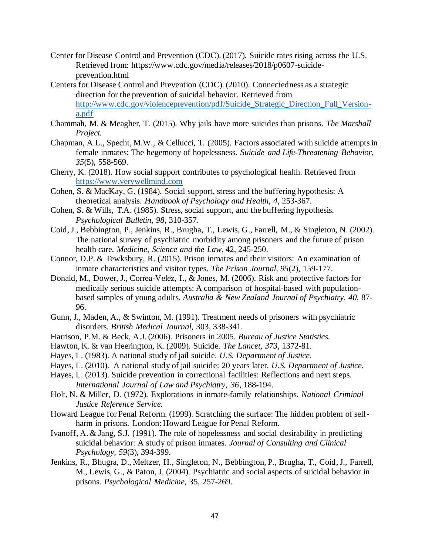- Center for Disease Control and Prevention (CDC). (2017). Suicide rates rising across the U.S. Retrieved from: https://www.cdc.gov/media/releases/2018/p0607-suicideprevention.html
- Centers for Disease Control and Prevention (CDC). (2010). Connectedness as a strategic direction for the prevention of suicidal behavior. Retrieved from [http://www.cdc.gov/violenceprevention/pdf/Suicide\\_Strategic\\_Direction\\_Full\\_Version](http://www.cdc.gov/violenceprevention/pdf/Suicide_Strategic_Direction_Full_Version-a.pdf)[a.pdf](http://www.cdc.gov/violenceprevention/pdf/Suicide_Strategic_Direction_Full_Version-a.pdf)
- Chammah, M. & Meagher, T. (2015). Why jails have more suicides than prisons. *The Marshall Project.*
- Chapman, A.L., Specht, M.W., & Cellucci, T. (2005). Factors associated with suicide attempts in female inmates: The hegemony of hopelessness. *Suicide and Life-Threatening Behavior, 35*(5), 558-569.
- Cherry, K. (2018). How social support contributes to psychological health. Retrieved from [https://www.verywellmind.com](https://www.verywellmind.com/)
- Cohen, S. & MacKay, G. (1984). Social support, stress and the buffering hypothesis: A theoretical analysis. *Handbook of Psychology and Health, 4,* 253-367.
- Cohen, S. & Wills, T.A. (1985). Stress, social support, and the buffering hypothesis. *Psychological Bulletin, 98,* 310-357.
- Coid, J., Bebbington, P., Jenkins, R., Brugha, T., Lewis, G., Farrell, M., & Singleton, N. (2002). The national survey of psychiatric morbidity among prisoners and the future of prison health care. *Medicine, Science and the Law,* 42, 245-250.
- Connor, D.P. & Tewksbury, R. (2015). Prison inmates and their visitors: An examination of inmate characteristics and visitor types. *The Prison Journal, 95*(2), 159-177.
- Donald, M., Dower, J., Correa-Velez, I., & Jones, M. (2006). Risk and protective factors for medically serious suicide attempts: A comparison of hospital-based with populationbased samples of young adults. *Australia & New Zealand Journal of Psychiatry, 40,* 87- 96.
- Gunn, J., Maden, A., & Swinton, M. (1991). Treatment needs of prisoners with psychiatric disorders. *British Medical Journal,* 303, 338-341.
- Harrison, P.M. & Beck, A.J. (2006). Prisoners in 2005. *Bureau of Justice Statistics.*
- Hawton, K. & van Heerington, K. (2009). Suicide. *The Lancet, 373,* 1372-81.
- Hayes, L. (1983). A national study of jail suicide. *U.S. Department of Justice.*
- Hayes, L. (2010). A national study of jail suicide: 20 years later. *U.S. Department of Justice.*
- Hayes, L. (2013). Suicide prevention in correctional facilities: Reflections and next steps. *International Journal of Law and Psychiatry, 36*, 188-194.
- Holt, N. & Miller, D. (1972). Explorations in inmate-family relationships. *National Criminal Justice Reference Service.*
- Howard League for Penal Reform. (1999). Scratching the surface: The hidden problem of selfharm in prisons. London: Howard League for Penal Reform.
- Ivanoff, A. & Jang, S.J. (1991). The role of hopelessness and social desirability in predicting suicidal behavior: A study of prison inmates. *Journal of Consulting and Clinical Psychology, 59*(3), 394-399.
- Jenkins, R., Bhugra, D., Meltzer, H., Singleton, N., Bebbington, P., Brugha, T., Coid, J., Farrell, M., Lewis, G., & Paton, J. (2004). Psychiatric and social aspects of suicidal behavior in prisons. *Psychological Medicine,* 35, 257-269.